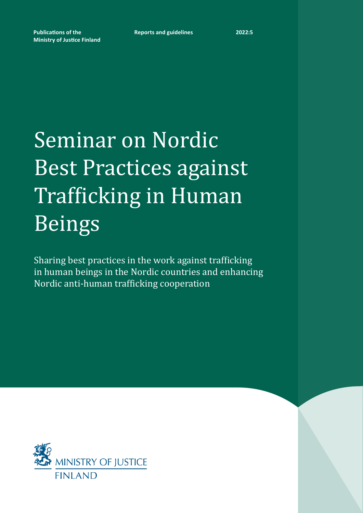# Seminar on Nordic Best Practices against Trafficking in Human Beings

Sharing best practices in the work against trafficking in human beings in the Nordic countries and enhancing Nordic anti-human trafficking cooperation

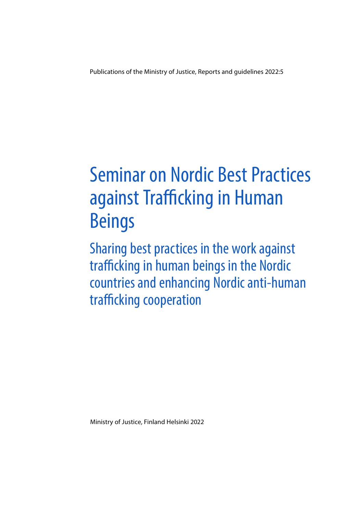Publications of the Ministry of Justice, Reports and guidelines 2022:5

# Seminar on Nordic Best Practices against Trafficking in Human Beings

Sharing best practices in the work against trafficking in human beings in the Nordic countries and enhancing Nordic anti-human trafficking cooperation

Ministry of Justice, Finland Helsinki 2022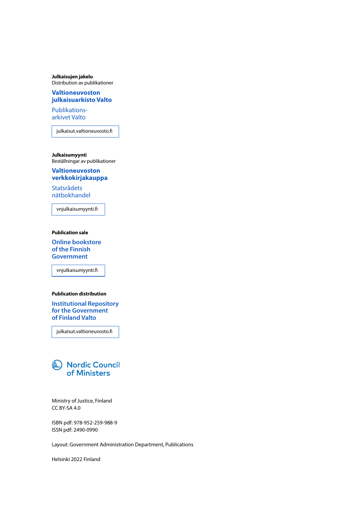**Julkaisujen jakelu** Distribution av publikationer

**Valtioneuvoston [julkaisuarkisto Valto](https://julkaisut.valtioneuvosto.fi/)**

Publikationsarkivet Valto

julkaisut.valtioneuvosto.fi

**Julkaisumyynti** Beställningar av publikationer

**Valtioneuvoston [verkkokirjakauppa](https://vnjulkaisumyynti.fi/)**

Statsrådets nätbokhandel

vnjulkaisumyynti.fi

#### **Publication sale**

**[Online bookstore](https://vnjulkaisumyynti.fi/)  of the Finnish Government**

vnjulkaisumyynti.fi

#### **Publication distribution**

**[Institutional Repository](https://julkaisut.valtioneuvosto.fi/) for the Government of Finland Valto**

julkaisut.valtioneuvosto.fi



Ministry of Justice, Finland CC BY-SA 4.0

ISBN pdf: 978-952-259-988-9 ISSN pdf: 2490-0990

Layout: Government Administration Department, Publications

Helsinki 2022 Finland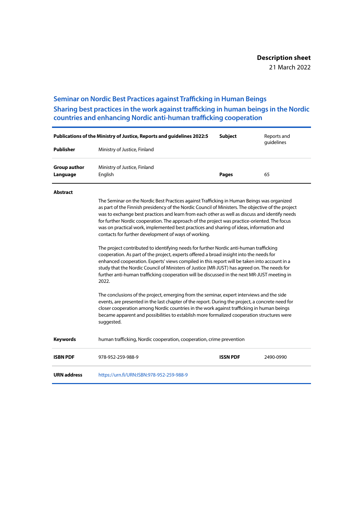## **Seminar on Nordic Best Practices against Trafficking in Human Beings Sharing best practices in the work against trafficking in human beings in the Nordic countries and enhancing Nordic anti-human trafficking cooperation**

| Publications of the Ministry of Justice, Reports and guidelines 2022:5 |                                                                                                                                                                                                                                                                                                                                                                                                                                                                                                                                                                                                                                                                                                                                                                                                                                                                                                                                                                                                                                                                                                                                                                                                                                                                                                                                                                                                                                                              | <b>Subject</b>  | Reports and<br>guidelines |
|------------------------------------------------------------------------|--------------------------------------------------------------------------------------------------------------------------------------------------------------------------------------------------------------------------------------------------------------------------------------------------------------------------------------------------------------------------------------------------------------------------------------------------------------------------------------------------------------------------------------------------------------------------------------------------------------------------------------------------------------------------------------------------------------------------------------------------------------------------------------------------------------------------------------------------------------------------------------------------------------------------------------------------------------------------------------------------------------------------------------------------------------------------------------------------------------------------------------------------------------------------------------------------------------------------------------------------------------------------------------------------------------------------------------------------------------------------------------------------------------------------------------------------------------|-----------------|---------------------------|
| <b>Publisher</b>                                                       | Ministry of Justice, Finland                                                                                                                                                                                                                                                                                                                                                                                                                                                                                                                                                                                                                                                                                                                                                                                                                                                                                                                                                                                                                                                                                                                                                                                                                                                                                                                                                                                                                                 |                 |                           |
| <b>Group author</b>                                                    | Ministry of Justice, Finland                                                                                                                                                                                                                                                                                                                                                                                                                                                                                                                                                                                                                                                                                                                                                                                                                                                                                                                                                                                                                                                                                                                                                                                                                                                                                                                                                                                                                                 |                 |                           |
| Language                                                               | English                                                                                                                                                                                                                                                                                                                                                                                                                                                                                                                                                                                                                                                                                                                                                                                                                                                                                                                                                                                                                                                                                                                                                                                                                                                                                                                                                                                                                                                      | <b>Pages</b>    | 65                        |
| <b>Abstract</b>                                                        |                                                                                                                                                                                                                                                                                                                                                                                                                                                                                                                                                                                                                                                                                                                                                                                                                                                                                                                                                                                                                                                                                                                                                                                                                                                                                                                                                                                                                                                              |                 |                           |
|                                                                        | The Seminar on the Nordic Best Practices against Trafficking in Human Beings was organized<br>as part of the Finnish presidency of the Nordic Council of Ministers. The objective of the project<br>was to exchange best practices and learn from each other as well as discuss and identify needs<br>for further Nordic cooperation. The approach of the project was practice-oriented. The focus<br>was on practical work, implemented best practices and sharing of ideas, information and<br>contacts for further development of ways of working.<br>The project contributed to identifying needs for further Nordic anti-human trafficking<br>cooperation. As part of the project, experts offered a broad insight into the needs for<br>enhanced cooperation. Experts' views compiled in this report will be taken into account in a<br>study that the Nordic Council of Ministers of Justice (MR-JUST) has agreed on. The needs for<br>further anti-human trafficking cooperation will be discussed in the next MR-JUST meeting in<br>2022.<br>The conclusions of the project, emerging from the seminar, expert interviews and the side<br>events, are presented in the last chapter of the report. During the project, a concrete need for<br>closer cooperation among Nordic countries in the work against trafficking in human beings<br>became apparent and possibilities to establish more formalized cooperation structures were<br>suggested. |                 |                           |
| <b>Keywords</b>                                                        | human trafficking, Nordic cooperation, cooperation, crime prevention                                                                                                                                                                                                                                                                                                                                                                                                                                                                                                                                                                                                                                                                                                                                                                                                                                                                                                                                                                                                                                                                                                                                                                                                                                                                                                                                                                                         |                 |                           |
| <b>ISBN PDF</b>                                                        | 978-952-259-988-9                                                                                                                                                                                                                                                                                                                                                                                                                                                                                                                                                                                                                                                                                                                                                                                                                                                                                                                                                                                                                                                                                                                                                                                                                                                                                                                                                                                                                                            | <b>ISSN PDF</b> | 2490-0990                 |
| <b>URN</b> address                                                     | https://urn.fi/URN:ISBN:978-952-259-988-9                                                                                                                                                                                                                                                                                                                                                                                                                                                                                                                                                                                                                                                                                                                                                                                                                                                                                                                                                                                                                                                                                                                                                                                                                                                                                                                                                                                                                    |                 |                           |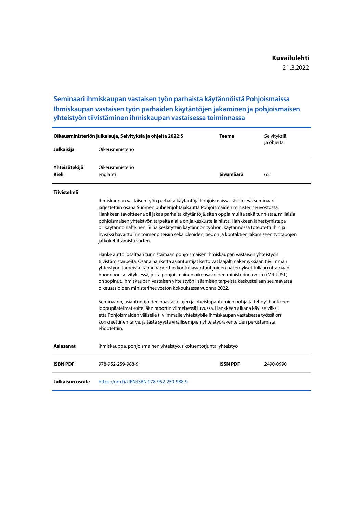# **Seminaari ihmiskaupan vastaisen työn parhaista käytännöistä Pohjoismaissa Ihmiskaupan vastaisen työn parhaiden käytäntöjen jakaminen ja pohjoismaisen yhteistyön tiivistäminen ihmiskaupan vastaisessa toiminnassa**

| Oikeusministeriön julkaisuja, Selvityksiä ja ohjeita 2022:5 |                                                                                                                                                                                                                                                                                                                                                                                                                                                                                                                                                                                                        | <b>Teema</b>    | Selvityksiä<br>ja ohjeita |
|-------------------------------------------------------------|--------------------------------------------------------------------------------------------------------------------------------------------------------------------------------------------------------------------------------------------------------------------------------------------------------------------------------------------------------------------------------------------------------------------------------------------------------------------------------------------------------------------------------------------------------------------------------------------------------|-----------------|---------------------------|
| Julkaisija                                                  | Oikeusministeriö                                                                                                                                                                                                                                                                                                                                                                                                                                                                                                                                                                                       |                 |                           |
| Yhteisötekijä                                               | Oikeusministeriö                                                                                                                                                                                                                                                                                                                                                                                                                                                                                                                                                                                       |                 |                           |
| Kieli                                                       | englanti                                                                                                                                                                                                                                                                                                                                                                                                                                                                                                                                                                                               | Sivumäärä       | 65                        |
| <b>Tiivistelmä</b>                                          |                                                                                                                                                                                                                                                                                                                                                                                                                                                                                                                                                                                                        |                 |                           |
|                                                             | Ihmiskaupan vastaisen työn parhaita käytäntöjä Pohjoismaissa käsittelevä seminaari<br>järjestettiin osana Suomen puheenjohtajakautta Pohjoismaiden ministerineuvostossa.<br>Hankkeen tavoitteena oli jakaa parhaita käytäntöjä, siten oppia muilta sekä tunnistaa, millaisia<br>pohjoismaisen yhteistyön tarpeita alalla on ja keskustella niistä. Hankkeen lähestymistapa<br>oli käytännönläheinen. Siinä keskityttiin käytännön työhön, käytännössä toteutettuihin ja<br>hyväksi havaittuihin toimenpiteisiin sekä ideoiden, tiedon ja kontaktien jakamiseen työtapojen<br>jatkokehittämistä varten. |                 |                           |
|                                                             | Hanke auttoi osaltaan tunnistamaan pohjoismaisen ihmiskaupan vastaisen yhteistyön<br>tiivistämistarpeita. Osana hanketta asiantuntijat kertoivat laajalti näkemyksiään tiiviimmän<br>yhteistyön tarpeista. Tähän raporttiin kootut asiantuntijoiden näkemykset tullaan ottamaan<br>huomioon selvityksessä, josta pohjoismainen oikeusasioiden ministerineuvosto (MR-JUST)<br>on sopinut. Ihmiskaupan vastaisen yhteistyön lisäämisen tarpeista keskustellaan seuraavassa<br>oikeusasioiden ministerineuvoston kokouksessa vuonna 2022.                                                                 |                 |                           |
|                                                             | Seminaarin, asiantuntijoiden haastattelujen ja oheistapahtumien pohjalta tehdyt hankkeen<br>loppupäätelmät esitellään raportin viimeisessä luvussa. Hankkeen aikana kävi selväksi,<br>että Pohjoismaiden väliselle tiiviimmälle yhteistyölle ihmiskaupan vastaisessa työssä on<br>konkreettinen tarve, ja tästä syystä virallisempien yhteistyörakenteiden perustamista<br>ehdotettiin.                                                                                                                                                                                                                |                 |                           |
| Asiasanat                                                   | ihmiskauppa, pohjoismainen yhteistyö, rikoksentorjunta, yhteistyö                                                                                                                                                                                                                                                                                                                                                                                                                                                                                                                                      |                 |                           |
| <b>ISBN PDF</b>                                             | 978-952-259-988-9                                                                                                                                                                                                                                                                                                                                                                                                                                                                                                                                                                                      | <b>ISSN PDF</b> | 2490-0990                 |
| <b>Julkaisun osoite</b>                                     | https://urn.fi/URN:ISBN:978-952-259-988-9                                                                                                                                                                                                                                                                                                                                                                                                                                                                                                                                                              |                 |                           |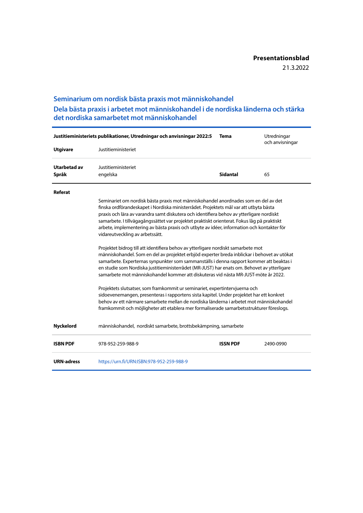### **Seminarium om nordisk bästa praxis mot människohandel**

#### **Dela bästa praxis i arbetet mot människohandel i de nordiska länderna och stärka det nordiska samarbetet mot människohandel**

| Justitieministeriets publikationer, Utredningar och anvisningar 2022:5 |                                                                                                                                                                                                                                                                                                                                                                                                                                                                                                        | Tema            | Utredningar<br>och anvisningar |
|------------------------------------------------------------------------|--------------------------------------------------------------------------------------------------------------------------------------------------------------------------------------------------------------------------------------------------------------------------------------------------------------------------------------------------------------------------------------------------------------------------------------------------------------------------------------------------------|-----------------|--------------------------------|
| <b>Utgivare</b>                                                        | Justitieministeriet                                                                                                                                                                                                                                                                                                                                                                                                                                                                                    |                 |                                |
| Utarbetad av                                                           | Justitieministeriet                                                                                                                                                                                                                                                                                                                                                                                                                                                                                    |                 |                                |
| Språk                                                                  | engelska                                                                                                                                                                                                                                                                                                                                                                                                                                                                                               | <b>Sidantal</b> | 65                             |
| Referat                                                                |                                                                                                                                                                                                                                                                                                                                                                                                                                                                                                        |                 |                                |
|                                                                        | Seminariet om nordisk bästa praxis mot människohandel anordnades som en del av det<br>finska ordförandeskapet i Nordiska ministerrådet. Projektets mål var att utbyta bästa<br>praxis och lära av varandra samt diskutera och identifiera behov av ytterligare nordiskt<br>samarbete. I tillvägagångssättet var projektet praktiskt orienterat. Fokus låg på praktiskt<br>arbete, implementering av bästa praxis och utbyte av idéer, information och kontakter för<br>vidareutveckling av arbetssätt. |                 |                                |
|                                                                        | Projektet bidrog till att identifiera behov av ytterligare nordiskt samarbete mot<br>människohandel. Som en del av projektet erbjöd experter breda inblickar i behovet av utökat<br>samarbete. Experternas synpunkter som sammanställs i denna rapport kommer att beaktas i<br>en studie som Nordiska justitieministerrådet (MR-JUST) har enats om. Behovet av ytterligare<br>samarbete mot människohandel kommer att diskuteras vid nästa MR-JUST-möte år 2022.                                       |                 |                                |
|                                                                        | Projektets slutsatser, som framkommit ur seminariet, expertintervjuerna och<br>sidoevenemangen, presenteras i rapportens sista kapitel. Under projektet har ett konkret<br>behov av ett närmare samarbete mellan de nordiska länderna i arbetet mot människohandel<br>framkommit och möjligheter att etablera mer formaliserade samarbetsstrukturer föreslogs.                                                                                                                                         |                 |                                |
| <b>Nyckelord</b>                                                       | människohandel, nordiskt samarbete, brottsbekämpning, samarbete                                                                                                                                                                                                                                                                                                                                                                                                                                        |                 |                                |
| <b>ISBN PDF</b>                                                        | 978-952-259-988-9                                                                                                                                                                                                                                                                                                                                                                                                                                                                                      | <b>ISSN PDF</b> | 2490-0990                      |
| <b>URN-adress</b>                                                      | https://urn.fi/URN:ISBN:978-952-259-988-9                                                                                                                                                                                                                                                                                                                                                                                                                                                              |                 |                                |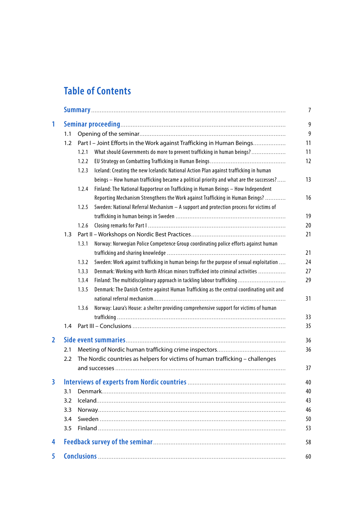# **Table of Contents**

| 1              |               |                                                                                                    |
|----------------|---------------|----------------------------------------------------------------------------------------------------|
|                | 1.1           |                                                                                                    |
|                | 1.2           | Part I - Joint Efforts in the Work against Trafficking in Human Beings                             |
|                |               | What should Governments do more to prevent trafficking in human beings?<br>1.2.1                   |
|                |               | 1.2.2                                                                                              |
|                |               | Iceland: Creating the new Icelandic National Action Plan against trafficking in human<br>1.2.3     |
|                |               | beings - How human trafficking became a political priority and what are the successes?             |
|                |               | Finland: The National Rapporteur on Trafficking in Human Beings - How Independent<br>1.2.4         |
|                |               | Reporting Mechanism Strengthens the Work against Trafficking in Human Beings?                      |
|                |               | Sweden: National Referral Mechanism - A support and protection process for victims of<br>1.2.5     |
|                |               |                                                                                                    |
|                |               | 1.2.6                                                                                              |
|                | 1.3           |                                                                                                    |
|                |               | Norway: Norwegian Police Competence Group coordinating police efforts against human<br>1.3.1       |
|                |               |                                                                                                    |
|                |               | Sweden: Work against trafficking in human beings for the purpose of sexual exploitation<br>1.3.2   |
|                |               | Denmark: Working with North African minors trafficked into criminal activities<br>1.3.3            |
|                |               | Finland: The multidisciplinary approach in tackling labour trafficking<br>1.3.4                    |
|                |               | Denmark: The Danish Centre against Human Trafficking as the central coordinating unit and<br>1.3.5 |
|                |               |                                                                                                    |
|                |               | Norway: Laura's House: a shelter providing comprehensive support for victims of human<br>1.3.6     |
|                |               |                                                                                                    |
|                | $1.4^{\circ}$ |                                                                                                    |
| $\overline{2}$ |               |                                                                                                    |
|                | 2.1           |                                                                                                    |
|                | 2.2           | The Nordic countries as helpers for victims of human trafficking - challenges                      |
|                |               |                                                                                                    |
|                |               |                                                                                                    |
| 3              |               |                                                                                                    |
|                | 3.1           |                                                                                                    |
|                | 3.2           |                                                                                                    |
|                | 3.3           |                                                                                                    |
|                | 3.4           |                                                                                                    |
|                | 3.5           |                                                                                                    |
| 4              |               |                                                                                                    |
| 5              |               |                                                                                                    |
|                |               |                                                                                                    |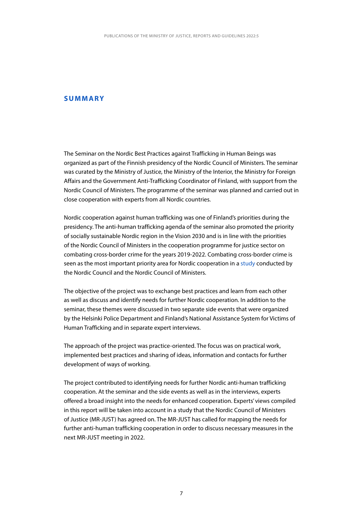#### <span id="page-7-0"></span>**SUMMARY**

The Seminar on the Nordic Best Practices against Trafficking in Human Beings was organized as part of the Finnish presidency of the Nordic Council of Ministers. The seminar was curated by the Ministry of Justice, the Ministry of the Interior, the Ministry for Foreign Affairs and the Government Anti-Trafficking Coordinator of Finland, with support from the Nordic Council of Ministers. The programme of the seminar was planned and carried out in close cooperation with experts from all Nordic countries.

Nordic cooperation against human trafficking was one of Finland's priorities during the presidency. The anti-human trafficking agenda of the seminar also promoted the priority of socially sustainable Nordic region in the Vision 2030 and is in line with the priorities of the Nordic Council of Ministers in the cooperation programme for justice sector on combating cross-border crime for the years 2019-2022. Combating cross-border crime is seen as the most important priority area for Nordic cooperation in a [study](https://pub.norden.org/nord2021-060) conducted by the Nordic Council and the Nordic Council of Ministers.

The objective of the project was to exchange best practices and learn from each other as well as discuss and identify needs for further Nordic cooperation. In addition to the seminar, these themes were discussed in two separate side events that were organized by the Helsinki Police Department and Finland's National Assistance System for Victims of Human Trafficking and in separate expert interviews.

The approach of the project was practice-oriented. The focus was on practical work, implemented best practices and sharing of ideas, information and contacts for further development of ways of working.

The project contributed to identifying needs for further Nordic anti-human trafficking cooperation. At the seminar and the side events as well as in the interviews, experts offered a broad insight into the needs for enhanced cooperation. Experts' views compiled in this report will be taken into account in a study that the Nordic Council of Ministers of Justice (MR-JUST) has agreed on. The MR-JUST has called for mapping the needs for further anti-human trafficking cooperation in order to discuss necessary measures in the next MR-JUST meeting in 2022.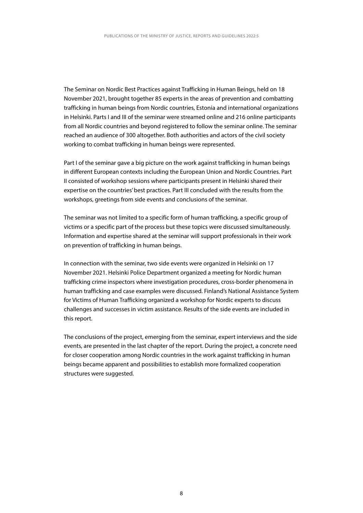The Seminar on Nordic Best Practices against Trafficking in Human Beings, held on 18 November 2021, brought together 85 experts in the areas of prevention and combatting trafficking in human beings from Nordic countries, Estonia and international organizations in Helsinki. Parts I and III of the seminar were streamed online and 216 online participants from all Nordic countries and beyond registered to follow the seminar online. The seminar reached an audience of 300 altogether. Both authorities and actors of the civil society working to combat trafficking in human beings were represented.

Part I of the seminar gave a big picture on the work against trafficking in human beings in different European contexts including the European Union and Nordic Countries. Part II consisted of workshop sessions where participants present in Helsinki shared their expertise on the countries' best practices. Part III concluded with the results from the workshops, greetings from side events and conclusions of the seminar.

The seminar was not limited to a specific form of human trafficking, a specific group of victims or a specific part of the process but these topics were discussed simultaneously. Information and expertise shared at the seminar will support professionals in their work on prevention of trafficking in human beings.

In connection with the seminar, two side events were organized in Helsinki on 17 November 2021. Helsinki Police Department organized a meeting for Nordic human trafficking crime inspectors where investigation procedures, cross-border phenomena in human trafficking and case examples were discussed. Finland's National Assistance System for Victims of Human Trafficking organized a workshop for Nordic experts to discuss challenges and successes in victim assistance. Results of the side events are included in this report.

The conclusions of the project, emerging from the seminar, expert interviews and the side events, are presented in the last chapter of the report. During the project, a concrete need for closer cooperation among Nordic countries in the work against trafficking in human beings became apparent and possibilities to establish more formalized cooperation structures were suggested.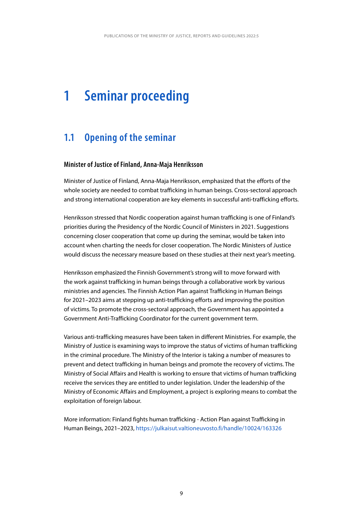# <span id="page-9-0"></span>**1 Seminar proceeding**

# **1.1 Opening of the seminar**

#### **Minister of Justice of Finland, Anna-Maja Henriksson**

Minister of Justice of Finland, Anna-Maja Henriksson, emphasized that the efforts of the whole society are needed to combat trafficking in human beings. Cross-sectoral approach and strong international cooperation are key elements in successful anti-trafficking efforts.

Henriksson stressed that Nordic cooperation against human trafficking is one of Finland's priorities during the Presidency of the Nordic Council of Ministers in 2021. Suggestions concerning closer cooperation that come up during the seminar, would be taken into account when charting the needs for closer cooperation. The Nordic Ministers of Justice would discuss the necessary measure based on these studies at their next year's meeting.

Henriksson emphasized the Finnish Government's strong will to move forward with the work against trafficking in human beings through a collaborative work by various ministries and agencies. The Finnish Action Plan against Trafficking in Human Beings for 2021–2023 aims at stepping up anti-trafficking efforts and improving the position of victims. To promote the cross-sectoral approach, the Government has appointed a Government Anti-Trafficking Coordinator for the current government term.

Various anti-trafficking measures have been taken in different Ministries. For example, the Ministry of Justice is examining ways to improve the status of victims of human trafficking in the criminal procedure. The Ministry of the Interior is taking a number of measures to prevent and detect trafficking in human beings and promote the recovery of victims. The Ministry of Social Affairs and Health is working to ensure that victims of human trafficking receive the services they are entitled to under legislation. Under the leadership of the Ministry of Economic Affairs and Employment, a project is exploring means to combat the exploitation of foreign labour.

More information: Finland fights human trafficking - Action Plan against Trafficking in Human Beings, 2021–2023, <https://julkaisut.valtioneuvosto.fi/handle/10024/163326>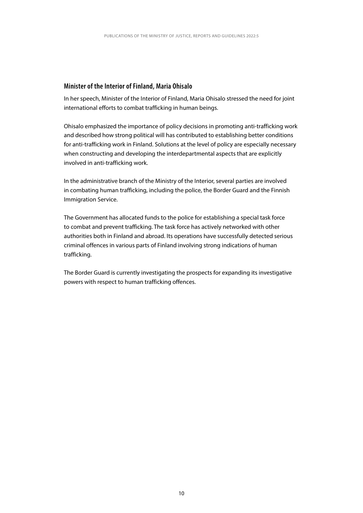#### **Minister of the Interior of Finland, Maria Ohisalo**

In her speech, Minister of the Interior of Finland, Maria Ohisalo stressed the need for joint international efforts to combat trafficking in human beings.

Ohisalo emphasized the importance of policy decisions in promoting anti-trafficking work and described how strong political will has contributed to establishing better conditions for anti-trafficking work in Finland. Solutions at the level of policy are especially necessary when constructing and developing the interdepartmental aspects that are explicitly involved in anti-trafficking work.

In the administrative branch of the Ministry of the Interior, several parties are involved in combating human trafficking, including the police, the Border Guard and the Finnish Immigration Service.

The Government has allocated funds to the police for establishing a special task force to combat and prevent trafficking. The task force has actively networked with other authorities both in Finland and abroad. Its operations have successfully detected serious criminal offences in various parts of Finland involving strong indications of human trafficking.

The Border Guard is currently investigating the prospects for expanding its investigative powers with respect to human trafficking offences.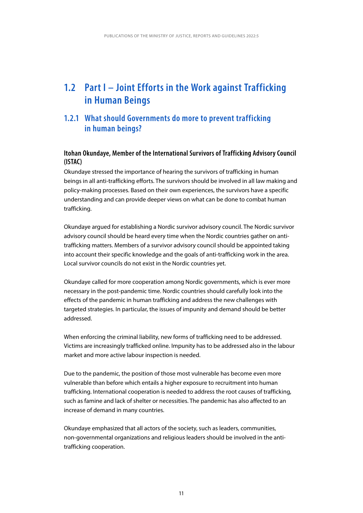# <span id="page-11-0"></span>**1.2 Part I – Joint Efforts in the Work against Trafficking in Human Beings**

# **1.2.1 What should Governments do more to prevent trafficking in human beings?**

#### **Itohan Okundaye, Member of the International Survivors of Trafficking Advisory Council (ISTAC)**

Okundaye stressed the importance of hearing the survivors of trafficking in human beings in all anti-trafficking efforts. The survivors should be involved in all law making and policy-making processes. Based on their own experiences, the survivors have a specific understanding and can provide deeper views on what can be done to combat human trafficking.

Okundaye argued for establishing a Nordic survivor advisory council. The Nordic survivor advisory council should be heard every time when the Nordic countries gather on antitrafficking matters. Members of a survivor advisory council should be appointed taking into account their specific knowledge and the goals of anti-trafficking work in the area. Local survivor councils do not exist in the Nordic countries yet.

Okundaye called for more cooperation among Nordic governments, which is ever more necessary in the post-pandemic time. Nordic countries should carefully look into the effects of the pandemic in human trafficking and address the new challenges with targeted strategies. In particular, the issues of impunity and demand should be better addressed.

When enforcing the criminal liability, new forms of trafficking need to be addressed. Victims are increasingly trafficked online. Impunity has to be addressed also in the labour market and more active labour inspection is needed.

Due to the pandemic, the position of those most vulnerable has become even more vulnerable than before which entails a higher exposure to recruitment into human trafficking. International cooperation is needed to address the root causes of trafficking, such as famine and lack of shelter or necessities. The pandemic has also affected to an increase of demand in many countries.

Okundaye emphasized that all actors of the society, such as leaders, communities, non-governmental organizations and religious leaders should be involved in the antitrafficking cooperation.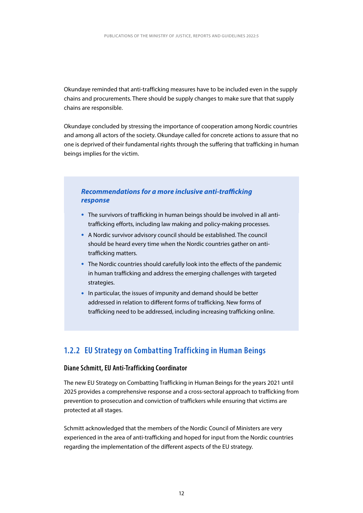<span id="page-12-0"></span>Okundaye reminded that anti-trafficking measures have to be included even in the supply chains and procurements. There should be supply changes to make sure that that supply chains are responsible.

Okundaye concluded by stressing the importance of cooperation among Nordic countries and among all actors of the society. Okundaye called for concrete actions to assure that no one is deprived of their fundamental rights through the suffering that trafficking in human beings implies for the victim.

#### *Recommendations for a more inclusive anti-trafficking response*

- The survivors of trafficking in human beings should be involved in all antitrafficking efforts, including law making and policy-making processes.
- A Nordic survivor advisory council should be established. The council should be heard every time when the Nordic countries gather on antitrafficking matters.
- The Nordic countries should carefully look into the effects of the pandemic in human trafficking and address the emerging challenges with targeted strategies.
- In particular, the issues of impunity and demand should be better addressed in relation to different forms of trafficking. New forms of trafficking need to be addressed, including increasing trafficking online.

# **1.2.2 EU Strategy on Combatting Trafficking in Human Beings**

#### **Diane Schmitt, EU Anti-Trafficking Coordinator**

The new EU Strategy on Combatting Trafficking in Human Beings for the years 2021 until 2025 provides a comprehensive response and a cross-sectoral approach to trafficking from prevention to prosecution and conviction of traffickers while ensuring that victims are protected at all stages.

Schmitt acknowledged that the members of the Nordic Council of Ministers are very experienced in the area of anti-trafficking and hoped for input from the Nordic countries regarding the implementation of the different aspects of the EU strategy.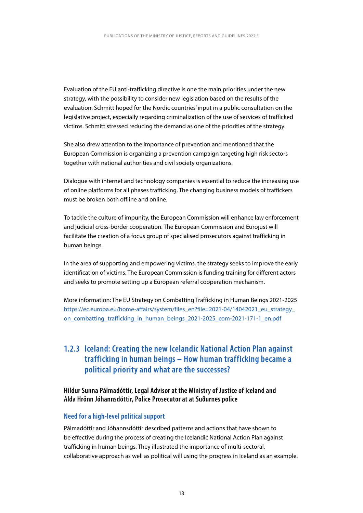<span id="page-13-0"></span>Evaluation of the EU anti-trafficking directive is one the main priorities under the new strategy, with the possibility to consider new legislation based on the results of the evaluation. Schmitt hoped for the Nordic countries' input in a public consultation on the legislative project, especially regarding criminalization of the use of services of trafficked victims. Schmitt stressed reducing the demand as one of the priorities of the strategy.

She also drew attention to the importance of prevention and mentioned that the European Commission is organizing a prevention campaign targeting high risk sectors together with national authorities and civil society organizations.

Dialogue with internet and technology companies is essential to reduce the increasing use of online platforms for all phases trafficking. The changing business models of traffickers must be broken both offline and online.

To tackle the culture of impunity, the European Commission will enhance law enforcement and judicial cross-border cooperation. The European Commission and Eurojust will facilitate the creation of a focus group of specialised prosecutors against trafficking in human beings.

In the area of supporting and empowering victims, the strategy seeks to improve the early identification of victims. The European Commission is funding training for different actors and seeks to promote setting up a European referral cooperation mechanism.

More information: The EU Strategy on Combatting Trafficking in Human Beings 2021-2025 [https://ec.europa.eu/home-affairs/system/files\\_en?file=2021-04/14042021\\_eu\\_strategy\\_](https://ec.europa.eu/home-affairs/system/files_en?file=2021-04/14042021_eu_strategy_on_combatting_trafficking_in_human_beings_2021-2025_com-2021-171-1_en.pdf) [on\\_combatting\\_trafficking\\_in\\_human\\_beings\\_2021-2025\\_com-2021-171-1\\_en.pdf](https://ec.europa.eu/home-affairs/system/files_en?file=2021-04/14042021_eu_strategy_on_combatting_trafficking_in_human_beings_2021-2025_com-2021-171-1_en.pdf)

# **1.2.3 Iceland: Creating the new Icelandic National Action Plan against trafficking in human beings – How human trafficking became a political priority and what are the successes?**

**Hildur Sunna Pálmadóttir, Legal Advisor at the Ministry of Justice of Iceland and Alda Hrönn Jóhannsdóttir, Police Prosecutor at at Suðurnes police**

#### **Need for a high-level political support**

Pálmadóttir and Jóhannsdóttir described patterns and actions that have shown to be effective during the process of creating the Icelandic National Action Plan against trafficking in human beings. They illustrated the importance of multi-sectoral, collaborative approach as well as political will using the progress in Iceland as an example.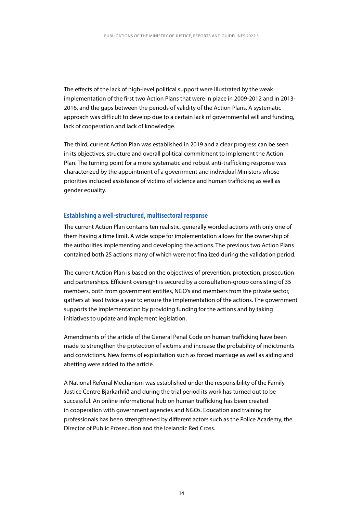The effects of the lack of high-level political support were illustrated by the weak implementation of the first two Action Plans that were in place in 2009-2012 and in 2013- 2016, and the gaps between the periods of validity of the Action Plans. A systematic approach was difficult to develop due to a certain lack of governmental will and funding, lack of cooperation and lack of knowledge.

The third, current Action Plan was established in 2019 and a clear progress can be seen in its objectives, structure and overall political commitment to implement the Action Plan. The turning point for a more systematic and robust anti-trafficking response was characterized by the appointment of a government and individual Ministers whose priorities included assistance of victims of violence and human trafficking as well as gender equality.

#### **Establishing a well-structured, multisectoral response**

The current Action Plan contains ten realistic, generally worded actions with only one of them having a time limit. A wide scope for implementation allows for the ownership of the authorities implementing and developing the actions. The previous two Action Plans contained both 25 actions many of which were not finalized during the validation period.

The current Action Plan is based on the objectives of prevention, protection, prosecution and partnerships. Efficient oversight is secured by a consultation-group consisting of 35 members, both from government entities, NGO's and members from the private sector, gathers at least twice a year to ensure the implementation of the actions. The government supports the implementation by providing funding for the actions and by taking initiatives to update and implement legislation.

Amendments of the article of the General Penal Code on human trafficking have been made to strengthen the protection of victims and increase the probability of indictments and convictions. New forms of exploitation such as forced marriage as well as aiding and abetting were added to the article.

A National Referral Mechanism was established under the responsibility of the Family Justice Centre Bjarkarhlíð and during the trial period its work has turned out to be successful. An online informational hub on human trafficking has been created in cooperation with government agencies and NGOs. Education and training for professionals has been strengthened by different actors such as the Police Academy, the Director of Public Prosecution and the Icelandic Red Cross.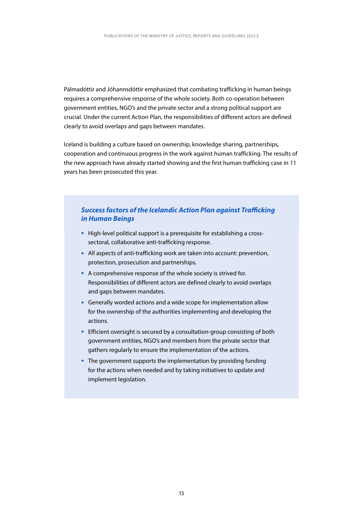Pálmadóttir and Jóhannsdóttir emphasized that combating trafficking in human beings requires a comprehensive response of the whole society. Both co-operation between government entities, NGO's and the private sector and a strong political support are crucial. Under the current Action Plan, the responsibilities of different actors are defined clearly to avoid overlaps and gaps between mandates.

Iceland is building a culture based on ownership, knowledge sharing, partnerships, cooperation and continuous progress in the work against human trafficking. The results of the new approach have already started showing and the first human trafficking case in 11 years has been prosecuted this year.

#### *Success factors of the Icelandic Action Plan against Trafficking in Human Beings*

- High-level political support is a prerequisite for establishing a crosssectoral, collaborative anti-trafficking response.
- All aspects of anti-trafficking work are taken into account: prevention, protection, prosecution and partnerships.
- A comprehensive response of the whole society is strived for. Responsibilities of different actors are defined clearly to avoid overlaps and gaps between mandates.
- Generally worded actions and a wide scope for implementation allow for the ownership of the authorities implementing and developing the actions.
- Efficient oversight is secured by a consultation-group consisting of both government entities, NGO's and members from the private sector that gathers regularly to ensure the implementation of the actions.
- The government supports the implementation by providing funding for the actions when needed and by taking initiatives to update and implement legislation.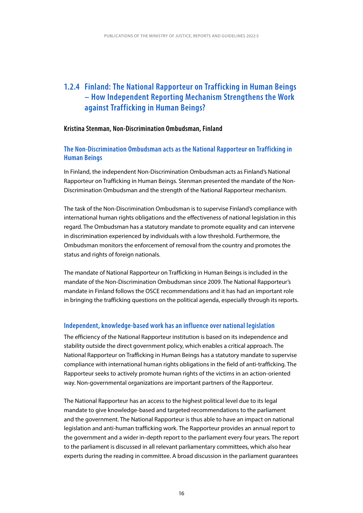# <span id="page-16-0"></span>**1.2.4 Finland: The National Rapporteur on Trafficking in Human Beings – How Independent Reporting Mechanism Strengthens the Work against Trafficking in Human Beings?**

#### **Kristina Stenman, Non-Discrimination Ombudsman, Finland**

**The Non-Discrimination Ombudsman acts as the National Rapporteur on Trafficking in Human Beings**

In Finland, the independent Non-Discrimination Ombudsman acts as Finland's National Rapporteur on Trafficking in Human Beings. Stenman presented the mandate of the Non-Discrimination Ombudsman and the strength of the National Rapporteur mechanism.

The task of the Non-Discrimination Ombudsman is to supervise Finland's compliance with international human rights obligations and the effectiveness of national legislation in this regard. The Ombudsman has a statutory mandate to promote equality and can intervene in discrimination experienced by individuals with a low threshold. Furthermore, the Ombudsman monitors the enforcement of removal from the country and promotes the status and rights of foreign nationals.

The mandate of National Rapporteur on Trafficking in Human Beings is included in the mandate of the Non-Discrimination Ombudsman since 2009. The National Rapporteur's mandate in Finland follows the OSCE recommendations and it has had an important role in bringing the trafficking questions on the political agenda, especially through its reports.

#### **Independent, knowledge-based work has an influence over national legislation**

The efficiency of the National Rapporteur institution is based on its independence and stability outside the direct government policy, which enables a critical approach. The National Rapporteur on Trafficking in Human Beings has a statutory mandate to supervise compliance with international human rights obligations in the field of anti-trafficking. The Rapporteur seeks to actively promote human rights of the victims in an action-oriented way. Non-governmental organizations are important partners of the Rapporteur.

The National Rapporteur has an access to the highest political level due to its legal mandate to give knowledge-based and targeted recommendations to the parliament and the government. The National Rapporteur is thus able to have an impact on national legislation and anti-human trafficking work. The Rapporteur provides an annual report to the government and a wider in-depth report to the parliament every four years. The report to the parliament is discussed in all relevant parliamentary committees, which also hear experts during the reading in committee. A broad discussion in the parliament guarantees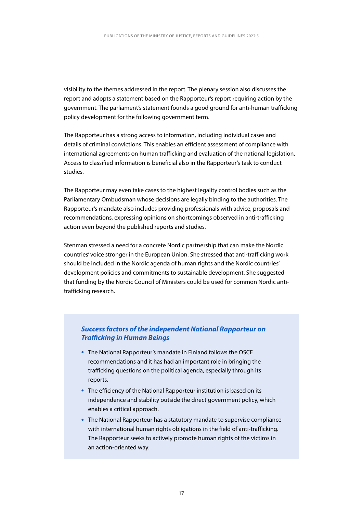visibility to the themes addressed in the report. The plenary session also discusses the report and adopts a statement based on the Rapporteur's report requiring action by the government. The parliament's statement founds a good ground for anti-human trafficking policy development for the following government term.

The Rapporteur has a strong access to information, including individual cases and details of criminal convictions. This enables an efficient assessment of compliance with international agreements on human trafficking and evaluation of the national legislation. Access to classified information is beneficial also in the Rapporteur's task to conduct studies.

The Rapporteur may even take cases to the highest legality control bodies such as the Parliamentary Ombudsman whose decisions are legally binding to the authorities. The Rapporteur's mandate also includes providing professionals with advice, proposals and recommendations, expressing opinions on shortcomings observed in anti-trafficking action even beyond the published reports and studies.

Stenman stressed a need for a concrete Nordic partnership that can make the Nordic countries' voice stronger in the European Union. She stressed that anti-trafficking work should be included in the Nordic agenda of human rights and the Nordic countries' development policies and commitments to sustainable development. She suggested that funding by the Nordic Council of Ministers could be used for common Nordic antitrafficking research.

#### *Success factors of the independent National Rapporteur on Trafficking in Human Beings*

- The National Rapporteur's mandate in Finland follows the OSCE recommendations and it has had an important role in bringing the trafficking questions on the political agenda, especially through its reports.
- The efficiency of the National Rapporteur institution is based on its independence and stability outside the direct government policy, which enables a critical approach.
- The National Rapporteur has a statutory mandate to supervise compliance with international human rights obligations in the field of anti-trafficking. The Rapporteur seeks to actively promote human rights of the victims in an action-oriented way.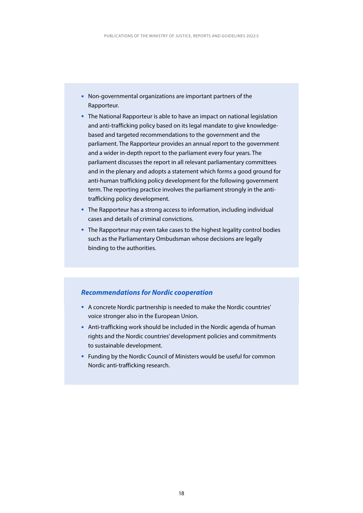- Non-governmental organizations are important partners of the Rapporteur.
- The National Rapporteur is able to have an impact on national legislation and anti-trafficking policy based on its legal mandate to give knowledgebased and targeted recommendations to the government and the parliament. The Rapporteur provides an annual report to the government and a wider in-depth report to the parliament every four years. The parliament discusses the report in all relevant parliamentary committees and in the plenary and adopts a statement which forms a good ground for anti-human trafficking policy development for the following government term. The reporting practice involves the parliament strongly in the antitrafficking policy development.
- The Rapporteur has a strong access to information, including individual cases and details of criminal convictions.
- The Rapporteur may even take cases to the highest legality control bodies such as the Parliamentary Ombudsman whose decisions are legally binding to the authorities.

#### *Recommendations for Nordic cooperation*

- A concrete Nordic partnership is needed to make the Nordic countries' voice stronger also in the European Union.
- Anti-trafficking work should be included in the Nordic agenda of human rights and the Nordic countries' development policies and commitments to sustainable development.
- Funding by the Nordic Council of Ministers would be useful for common Nordic anti-trafficking research.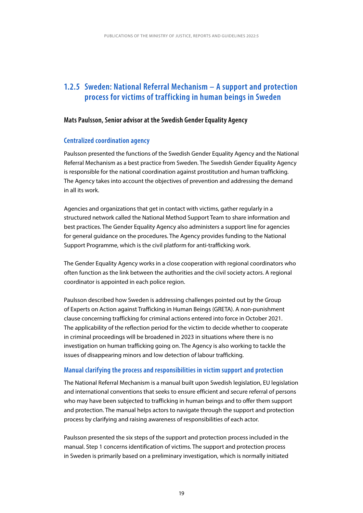# <span id="page-19-0"></span>**1.2.5 Sweden: National Referral Mechanism – A support and protection process for victims of trafficking in human beings in Sweden**

#### **Mats Paulsson, Senior advisor at the Swedish Gender Equality Agency**

#### **Centralized coordination agency**

Paulsson presented the functions of the Swedish Gender Equality Agency and the National Referral Mechanism as a best practice from Sweden. The Swedish Gender Equality Agency is responsible for the national coordination against prostitution and human trafficking. The Agency takes into account the objectives of prevention and addressing the demand in all its work.

Agencies and organizations that get in contact with victims, gather regularly in a structured network called the National Method Support Team to share information and best practices. The Gender Equality Agency also administers a support line for agencies for general guidance on the procedures. The Agency provides funding to the National Support Programme, which is the civil platform for anti-trafficking work.

The Gender Equality Agency works in a close cooperation with regional coordinators who often function as the link between the authorities and the civil society actors. A regional coordinator is appointed in each police region.

Paulsson described how Sweden is addressing challenges pointed out by the Group of Experts on Action against Trafficking in Human Beings (GRETA). A non-punishment clause concerning trafficking for criminal actions entered into force in October 2021. The applicability of the reflection period for the victim to decide whether to cooperate in criminal proceedings will be broadened in 2023 in situations where there is no investigation on human trafficking going on. The Agency is also working to tackle the issues of disappearing minors and low detection of labour trafficking.

#### **Manual clarifying the process and responsibilities in victim support and protection**

The National Referral Mechanism is a manual built upon Swedish legislation, EU legislation and international conventions that seeks to ensure efficient and secure referral of persons who may have been subjected to trafficking in human beings and to offer them support and protection. The manual helps actors to navigate through the support and protection process by clarifying and raising awareness of responsibilities of each actor.

Paulsson presented the six steps of the support and protection process included in the manual. Step 1 concerns identification of victims. The support and protection process in Sweden is primarily based on a preliminary investigation, which is normally initiated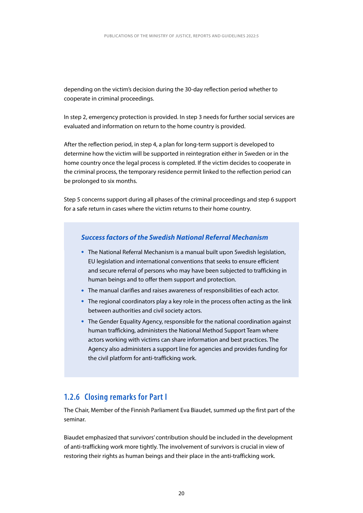<span id="page-20-0"></span>depending on the victim's decision during the 30-day reflection period whether to cooperate in criminal proceedings.

In step 2, emergency protection is provided. In step 3 needs for further social services are evaluated and information on return to the home country is provided.

After the reflection period, in step 4, a plan for long-term support is developed to determine how the victim will be supported in reintegration either in Sweden or in the home country once the legal process is completed. If the victim decides to cooperate in the criminal process, the temporary residence permit linked to the reflection period can be prolonged to six months.

Step 5 concerns support during all phases of the criminal proceedings and step 6 support for a safe return in cases where the victim returns to their home country.

#### *Success factors of the Swedish National Referral Mechanism*

- The National Referral Mechanism is a manual built upon Swedish legislation, EU legislation and international conventions that seeks to ensure efficient and secure referral of persons who may have been subjected to trafficking in human beings and to offer them support and protection.
- The manual clarifies and raises awareness of responsibilities of each actor.
- The regional coordinators play a key role in the process often acting as the link between authorities and civil society actors.
- The Gender Equality Agency, responsible for the national coordination against human trafficking, administers the National Method Support Team where actors working with victims can share information and best practices. The Agency also administers a support line for agencies and provides funding for the civil platform for anti-trafficking work.

#### **1.2.6 Closing remarks for Part I**

The Chair, Member of the Finnish Parliament Eva Biaudet, summed up the first part of the seminar.

Biaudet emphasized that survivors' contribution should be included in the development of anti-trafficking work more tightly. The involvement of survivors is crucial in view of restoring their rights as human beings and their place in the anti-trafficking work.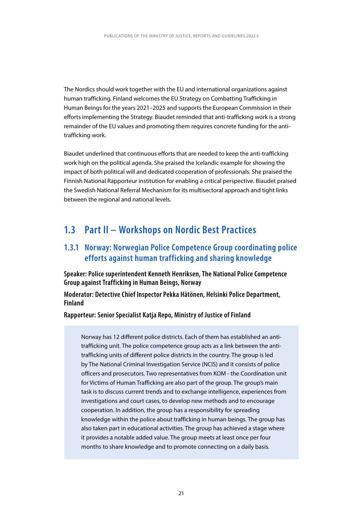<span id="page-21-0"></span>The Nordics should work together with the EU and international organizations against human trafficking. Finland welcomes the EU Strategy on Combatting Trafficking in Human Beings for the years 2021–2025 and supports the European Commission in their efforts implementing the Strategy. Biaudet reminded that anti-trafficking work is a strong remainder of the EU values and promoting them requires concrete funding for the antitrafficking work.

Biaudet underlined that continuous efforts that are needed to keep the anti-trafficking work high on the political agenda. She praised the Icelandic example for showing the impact of both political will and dedicated cooperation of professionals. She praised the Finnish National Rapporteur institution for enabling a critical perspective. Biaudet praised the Swedish National Referral Mechanism for its multisectoral approach and tight links between the regional and national levels.

# **1.3 Part II – Workshops on Nordic Best Practices**

### **1.3.1 Norway: Norwegian Police Competence Group coordinating police efforts against human trafficking and sharing knowledge**

**Speaker: Police superintendent Kenneth Henriksen, The National Police Competence Group against Trafficking in Human Beings, Norway**

**Moderator: Detective Chief Inspector Pekka Hätönen, Helsinki Police Department, Finland** 

**Rapporteur: Senior Specialist Katja Repo, Ministry of Justice of Finland**

Norway has 12 different police districts. Each of them has established an antitrafficking unit. The police competence group acts as a link between the antitrafficking units of different police districts in the country. The group is led by The National Criminal Investigation Service (NCIS) and it consists of police officers and prosecutors. Two representatives from KOM - the Coordination unit for Victims of Human Trafficking are also part of the group. The group's main task is to discuss current trends and to exchange intelligence, experiences from investigations and court cases, to develop new methods and to encourage cooperation. In addition, the group has a responsibility for spreading knowledge within the police about trafficking in human beings. The group has also taken part in educational activities. The group has achieved a stage where it provides a notable added value. The group meets at least once per four months to share knowledge and to promote connecting on a daily basis.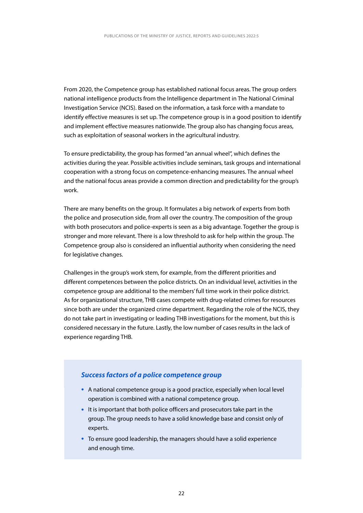From 2020, the Competence group has established national focus areas. The group orders national intelligence products from the Intelligence department in The National Criminal Investigation Service (NCIS). Based on the information, a task force with a mandate to identify effective measures is set up. The competence group is in a good position to identify and implement effective measures nationwide. The group also has changing focus areas, such as exploitation of seasonal workers in the agricultural industry.

To ensure predictability, the group has formed "an annual wheel", which defines the activities during the year. Possible activities include seminars, task groups and international cooperation with a strong focus on competence-enhancing measures. The annual wheel and the national focus areas provide a common direction and predictability for the group's work.

There are many benefits on the group. It formulates a big network of experts from both the police and prosecution side, from all over the country. The composition of the group with both prosecutors and police-experts is seen as a big advantage. Together the group is stronger and more relevant. There is a low threshold to ask for help within the group. The Competence group also is considered an influential authority when considering the need for legislative changes.

Challenges in the group's work stem, for example, from the different priorities and different competences between the police districts. On an individual level, activities in the competence group are additional to the members' full time work in their police district. As for organizational structure, THB cases compete with drug-related crimes for resources since both are under the organized crime department. Regarding the role of the NCIS, they do not take part in investigating or leading THB investigations for the moment, but this is considered necessary in the future. Lastly, the low number of cases results in the lack of experience regarding THB.

#### *Success factors of a police competence group*

- A national competence group is a good practice, especially when local level operation is combined with a national competence group.
- It is important that both police officers and prosecutors take part in the group. The group needs to have a solid knowledge base and consist only of experts.
- To ensure good leadership, the managers should have a solid experience and enough time.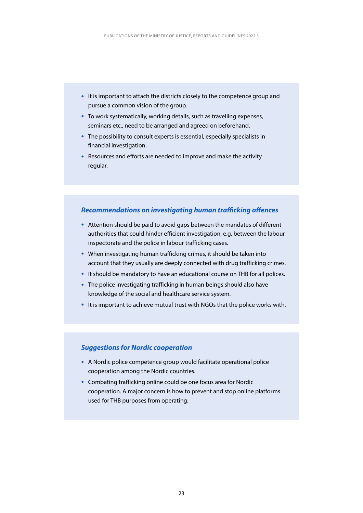- It is important to attach the districts closely to the competence group and pursue a common vision of the group.
- To work systematically, working details, such as travelling expenses, seminars etc., need to be arranged and agreed on beforehand.
- The possibility to consult experts is essential, especially specialists in financial investigation.
- Resources and efforts are needed to improve and make the activity regular.

#### *Recommendations on investigating human trafficking offences*

- Attention should be paid to avoid gaps between the mandates of different authorities that could hinder efficient investigation, e.g. between the labour inspectorate and the police in labour trafficking cases.
- When investigating human trafficking crimes, it should be taken into account that they usually are deeply connected with drug trafficking crimes.
- It should be mandatory to have an educational course on THB for all polices.
- The police investigating trafficking in human beings should also have knowledge of the social and healthcare service system.
- It is important to achieve mutual trust with NGOs that the police works with.

#### *Suggestions for Nordic cooperation*

- A Nordic police competence group would facilitate operational police cooperation among the Nordic countries.
- Combating trafficking online could be one focus area for Nordic cooperation. A major concern is how to prevent and stop online platforms used for THB purposes from operating.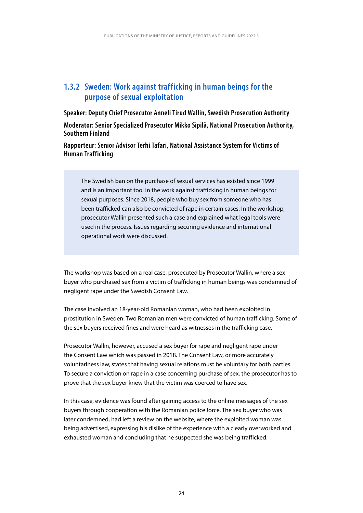# <span id="page-24-0"></span>**1.3.2 Sweden: Work against trafficking in human beings for the purpose of sexual exploitation**

**Speaker: Deputy Chief Prosecutor Anneli Tirud Wallin, Swedish Prosecution Authority Moderator: Senior Specialized Prosecutor Mikko Sipilä, National Prosecution Authority, Southern Finland**

**Rapporteur: Senior Advisor Terhi Tafari, National Assistance System for Victims of Human Trafficking**

The Swedish ban on the purchase of sexual services has existed since 1999 and is an important tool in the work against trafficking in human beings for sexual purposes. Since 2018, people who buy sex from someone who has been trafficked can also be convicted of rape in certain cases. In the workshop, prosecutor Wallin presented such a case and explained what legal tools were used in the process. Issues regarding securing evidence and international operational work were discussed.

The workshop was based on a real case, prosecuted by Prosecutor Wallin, where a sex buyer who purchased sex from a victim of trafficking in human beings was condemned of negligent rape under the Swedish Consent Law.

The case involved an 18-year-old Romanian woman, who had been exploited in prostitution in Sweden. Two Romanian men were convicted of human trafficking. Some of the sex buyers received fines and were heard as witnesses in the trafficking case.

Prosecutor Wallin, however, accused a sex buyer for rape and negligent rape under the Consent Law which was passed in 2018. The Consent Law, or more accurately voluntariness law, states that having sexual relations must be voluntary for both parties. To secure a conviction on rape in a case concerning purchase of sex, the prosecutor has to prove that the sex buyer knew that the victim was coerced to have sex.

In this case, evidence was found after gaining access to the online messages of the sex buyers through cooperation with the Romanian police force. The sex buyer who was later condemned, had left a review on the website, where the exploited woman was being advertised, expressing his dislike of the experience with a clearly overworked and exhausted woman and concluding that he suspected she was being trafficked.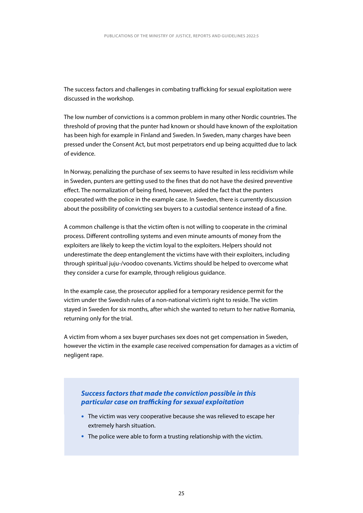The success factors and challenges in combating trafficking for sexual exploitation were discussed in the workshop.

The low number of convictions is a common problem in many other Nordic countries. The threshold of proving that the punter had known or should have known of the exploitation has been high for example in Finland and Sweden. In Sweden, many charges have been pressed under the Consent Act, but most perpetrators end up being acquitted due to lack of evidence.

In Norway, penalizing the purchase of sex seems to have resulted in less recidivism while in Sweden, punters are getting used to the fines that do not have the desired preventive effect. The normalization of being fined, however, aided the fact that the punters cooperated with the police in the example case. In Sweden, there is currently discussion about the possibility of convicting sex buyers to a custodial sentence instead of a fine.

A common challenge is that the victim often is not willing to cooperate in the criminal process. Different controlling systems and even minute amounts of money from the exploiters are likely to keep the victim loyal to the exploiters. Helpers should not underestimate the deep entanglement the victims have with their exploiters, including through spiritual juju-/voodoo covenants. Victims should be helped to overcome what they consider a curse for example, through religious guidance.

In the example case, the prosecutor applied for a temporary residence permit for the victim under the Swedish rules of a non-national victim's right to reside. The victim stayed in Sweden for six months, after which she wanted to return to her native Romania, returning only for the trial.

A victim from whom a sex buyer purchases sex does not get compensation in Sweden, however the victim in the example case received compensation for damages as a victim of negligent rape.

#### *Success factors that made the conviction possible in this particular case on trafficking for sexual exploitation*

- The victim was very cooperative because she was relieved to escape her extremely harsh situation.
- The police were able to form a trusting relationship with the victim.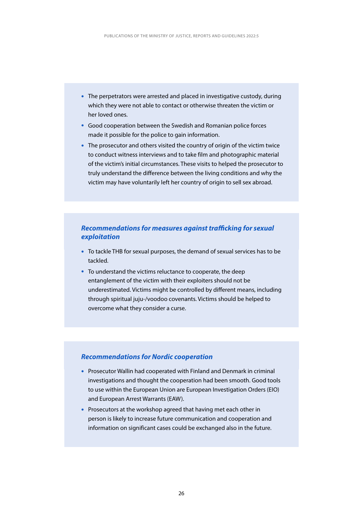- The perpetrators were arrested and placed in investigative custody, during which they were not able to contact or otherwise threaten the victim or her loved ones.
- Good cooperation between the Swedish and Romanian police forces made it possible for the police to gain information.
- The prosecutor and others visited the country of origin of the victim twice to conduct witness interviews and to take film and photographic material of the victim's initial circumstances. These visits to helped the prosecutor to truly understand the difference between the living conditions and why the victim may have voluntarily left her country of origin to sell sex abroad.

#### *Recommendations for measures against trafficking for sexual exploitation*

- To tackle THB for sexual purposes, the demand of sexual services has to be tackled.
- To understand the victims reluctance to cooperate, the deep entanglement of the victim with their exploiters should not be underestimated. Victims might be controlled by different means, including through spiritual juju-/voodoo covenants. Victims should be helped to overcome what they consider a curse.

#### *Recommendations for Nordic cooperation*

- Prosecutor Wallin had cooperated with Finland and Denmark in criminal investigations and thought the cooperation had been smooth. Good tools to use within the European Union are European Investigation Orders (EIO) and European Arrest Warrants (EAW).
- Prosecutors at the workshop agreed that having met each other in person is likely to increase future communication and cooperation and information on significant cases could be exchanged also in the future.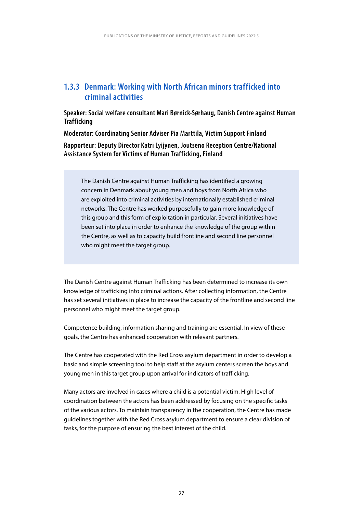# <span id="page-27-0"></span>**1.3.3 Denmark: Working with North African minors trafficked into criminal activities**

**Speaker: Social welfare consultant Mari Børnick-Sørhaug, Danish Centre against Human Trafficking**

**Moderator: Coordinating Senior Adviser Pia Marttila, Victim Support Finland Rapporteur: Deputy Director Katri Lyijynen, Joutseno Reception Centre/National Assistance System for Victims of Human Trafficking, Finland**

The Danish Centre against Human Trafficking has identified a growing concern in Denmark about young men and boys from North Africa who are exploited into criminal activities by internationally established criminal networks. The Centre has worked purposefully to gain more knowledge of this group and this form of exploitation in particular. Several initiatives have been set into place in order to enhance the knowledge of the group within the Centre, as well as to capacity build frontline and second line personnel who might meet the target group.

The Danish Centre against Human Trafficking has been determined to increase its own knowledge of trafficking into criminal actions. After collecting information, the Centre has set several initiatives in place to increase the capacity of the frontline and second line personnel who might meet the target group.

Competence building, information sharing and training are essential. In view of these goals, the Centre has enhanced cooperation with relevant partners.

The Centre has cooperated with the Red Cross asylum department in order to develop a basic and simple screening tool to help staff at the asylum centers screen the boys and young men in this target group upon arrival for indicators of trafficking.

Many actors are involved in cases where a child is a potential victim. High level of coordination between the actors has been addressed by focusing on the specific tasks of the various actors. To maintain transparency in the cooperation, the Centre has made guidelines together with the Red Cross asylum department to ensure a clear division of tasks, for the purpose of ensuring the best interest of the child.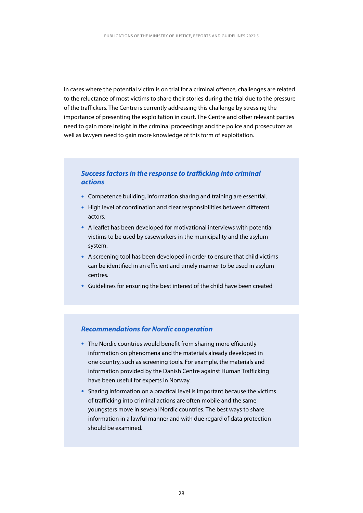In cases where the potential victim is on trial for a criminal offence, challenges are related to the reluctance of most victims to share their stories during the trial due to the pressure of the traffickers. The Centre is currently addressing this challenge by stressing the importance of presenting the exploitation in court. The Centre and other relevant parties need to gain more insight in the criminal proceedings and the police and prosecutors as well as lawyers need to gain more knowledge of this form of exploitation.

#### *Success factors in the response to trafficking into criminal actions*

- Competence building, information sharing and training are essential.
- High level of coordination and clear responsibilities between different actors.
- A leaflet has been developed for motivational interviews with potential victims to be used by caseworkers in the municipality and the asylum system.
- A screening tool has been developed in order to ensure that child victims can be identified in an efficient and timely manner to be used in asylum centres.
- Guidelines for ensuring the best interest of the child have been created

#### *Recommendations for Nordic cooperation*

- The Nordic countries would benefit from sharing more efficiently information on phenomena and the materials already developed in one country, such as screening tools. For example, the materials and information provided by the Danish Centre against Human Trafficking have been useful for experts in Norway.
- Sharing information on a practical level is important because the victims of trafficking into criminal actions are often mobile and the same youngsters move in several Nordic countries. The best ways to share information in a lawful manner and with due regard of data protection should be examined.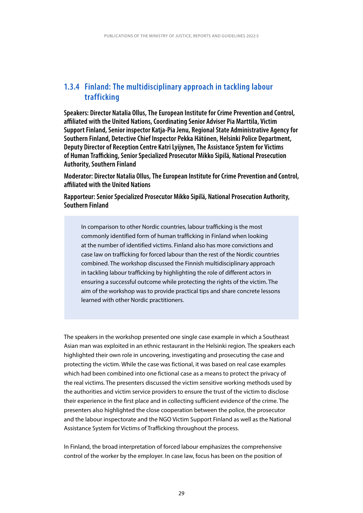### <span id="page-29-0"></span>**1.3.4 Finland: The multidisciplinary approach in tackling labour trafficking**

**Speakers: Director Natalia Ollus, The European Institute for Crime Prevention and Control, affiliated with the United Nations, Coordinating Senior Adviser Pia Marttila, Victim Support Finland, Senior inspector Katja-Pia Jenu, Regional State Administrative Agency for Southern Finland, Detective Chief Inspector Pekka Hätönen, Helsinki Police Department, Deputy Director of Reception Centre Katri Lyijynen, The Assistance System for Victims of Human Trafficking, Senior Specialized Prosecutor Mikko Sipilä, National Prosecution Authority, Southern Finland** 

**Moderator: Director Natalia Ollus, The European Institute for Crime Prevention and Control, affiliated with the United Nations** 

**Rapporteur: Senior Specialized Prosecutor Mikko Sipilä, National Prosecution Authority, Southern Finland**

In comparison to other Nordic countries, labour trafficking is the most commonly identified form of human trafficking in Finland when looking at the number of identified victims. Finland also has more convictions and case law on trafficking for forced labour than the rest of the Nordic countries combined. The workshop discussed the Finnish multidisciplinary approach in tackling labour trafficking by highlighting the role of different actors in ensuring a successful outcome while protecting the rights of the victim. The aim of the workshop was to provide practical tips and share concrete lessons learned with other Nordic practitioners.

The speakers in the workshop presented one single case example in which a Southeast Asian man was exploited in an ethnic restaurant in the Helsinki region. The speakers each highlighted their own role in uncovering, investigating and prosecuting the case and protecting the victim. While the case was fictional, it was based on real case examples which had been combined into one fictional case as a means to protect the privacy of the real victims. The presenters discussed the victim sensitive working methods used by the authorities and victim service providers to ensure the trust of the victim to disclose their experience in the first place and in collecting sufficient evidence of the crime. The presenters also highlighted the close cooperation between the police, the prosecutor and the labour inspectorate and the NGO Victim Support Finland as well as the National Assistance System for Victims of Trafficking throughout the process.

In Finland, the broad interpretation of forced labour emphasizes the comprehensive control of the worker by the employer. In case law, focus has been on the position of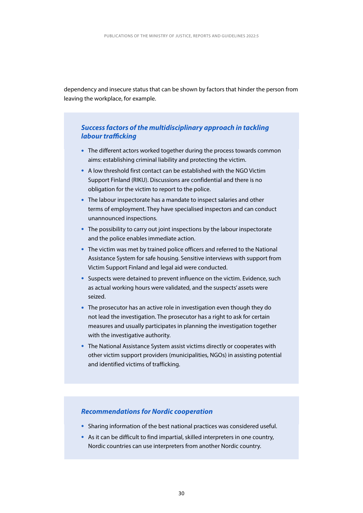dependency and insecure status that can be shown by factors that hinder the person from leaving the workplace, for example.

#### *Success factors of the multidisciplinary approach in tackling labour trafficking*

- The different actors worked together during the process towards common aims: establishing criminal liability and protecting the victim.
- A low threshold first contact can be established with the NGO Victim Support Finland (RIKU). Discussions are confidential and there is no obligation for the victim to report to the police.
- The labour inspectorate has a mandate to inspect salaries and other terms of employment. They have specialised inspectors and can conduct unannounced inspections.
- The possibility to carry out joint inspections by the labour inspectorate and the police enables immediate action.
- The victim was met by trained police officers and referred to the National Assistance System for safe housing. Sensitive interviews with support from Victim Support Finland and legal aid were conducted.
- Suspects were detained to prevent influence on the victim. Evidence, such as actual working hours were validated, and the suspects' assets were seized.
- The prosecutor has an active role in investigation even though they do not lead the investigation. The prosecutor has a right to ask for certain measures and usually participates in planning the investigation together with the investigative authority.
- The National Assistance System assist victims directly or cooperates with other victim support providers (municipalities, NGOs) in assisting potential and identified victims of trafficking.

#### *Recommendations for Nordic cooperation*

- Sharing information of the best national practices was considered useful.
- As it can be difficult to find impartial, skilled interpreters in one country, Nordic countries can use interpreters from another Nordic country.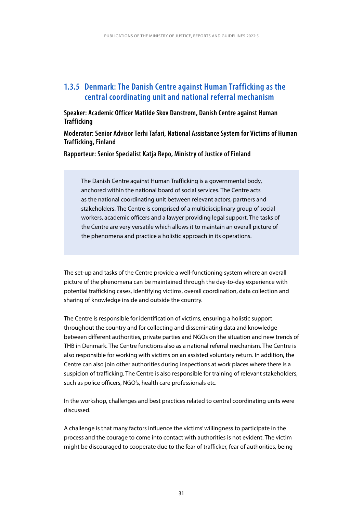## <span id="page-31-0"></span>**1.3.5 Denmark: The Danish Centre against Human Trafficking as the central coordinating unit and national referral mechanism**

**Speaker: Academic Officer Matilde Skov Danstrøm, Danish Centre against Human Trafficking** 

**Moderator: Senior Advisor Terhi Tafari, National Assistance System for Victims of Human Trafficking, Finland** 

**Rapporteur: Senior Specialist Katja Repo, Ministry of Justice of Finland**

The Danish Centre against Human Trafficking is a governmental body, anchored within the national board of social services. The Centre acts as the national coordinating unit between relevant actors, partners and stakeholders. The Centre is comprised of a multidisciplinary group of social workers, academic officers and a lawyer providing legal support. The tasks of the Centre are very versatile which allows it to maintain an overall picture of the phenomena and practice a holistic approach in its operations.

The set-up and tasks of the Centre provide a well-functioning system where an overall picture of the phenomena can be maintained through the day-to-day experience with potential trafficking cases, identifying victims, overall coordination, data collection and sharing of knowledge inside and outside the country.

The Centre is responsible for identification of victims, ensuring a holistic support throughout the country and for collecting and disseminating data and knowledge between different authorities, private parties and NGOs on the situation and new trends of THB in Denmark. The Centre functions also as a national referral mechanism. The Centre is also responsible for working with victims on an assisted voluntary return. In addition, the Centre can also join other authorities during inspections at work places where there is a suspicion of trafficking. The Centre is also responsible for training of relevant stakeholders, such as police officers, NGO's, health care professionals etc.

In the workshop, challenges and best practices related to central coordinating units were discussed.

A challenge is that many factors influence the victims' willingness to participate in the process and the courage to come into contact with authorities is not evident. The victim might be discouraged to cooperate due to the fear of trafficker, fear of authorities, being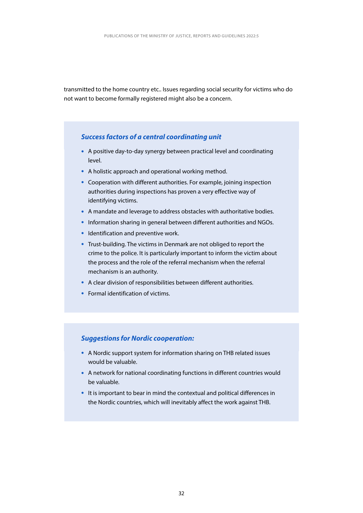transmitted to the home country etc.. Issues regarding social security for victims who do not want to become formally registered might also be a concern.

#### *Success factors of a central coordinating unit*

- A positive day-to-day synergy between practical level and coordinating level.
- A holistic approach and operational working method.
- Cooperation with different authorities. For example, joining inspection authorities during inspections has proven a very effective way of identifying victims.
- A mandate and leverage to address obstacles with authoritative bodies.
- Information sharing in general between different authorities and NGOs.
- Identification and preventive work.
- Trust-building. The victims in Denmark are not obliged to report the crime to the police. It is particularly important to inform the victim about the process and the role of the referral mechanism when the referral mechanism is an authority.
- A clear division of responsibilities between different authorities.
- Formal identification of victims.

#### *Suggestions for Nordic cooperation:*

- A Nordic support system for information sharing on THB related issues would be valuable.
- A network for national coordinating functions in different countries would be valuable.
- It is important to bear in mind the contextual and political differences in the Nordic countries, which will inevitably affect the work against THB.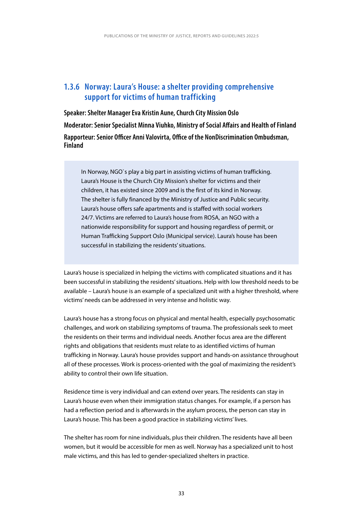## <span id="page-33-0"></span>**1.3.6 Norway: Laura's House: a shelter providing comprehensive support for victims of human trafficking**

**Speaker: Shelter Manager Eva Kristin Aune, Church City Mission Oslo Moderator: Senior Specialist Minna Viuhko, Ministry of Social Affairs and Health of Finland Rapporteur: Senior Officer Anni Valovirta, Office of the NonDiscrimination Ombudsman, Finland**

In Norway, NGO`s play a big part in assisting victims of human trafficking. Laura's House is the Church City Mission's shelter for victims and their children, it has existed since 2009 and is the first of its kind in Norway. The shelter is fully financed by the Ministry of Justice and Public security. Laura's house offers safe apartments and is staffed with social workers 24/7. Victims are referred to Laura's house from ROSA, an NGO with a nationwide responsibility for support and housing regardless of permit, or Human Trafficking Support Oslo (Municipal service). Laura's house has been successful in stabilizing the residents' situations.

Laura's house is specialized in helping the victims with complicated situations and it has been successful in stabilizing the residents' situations. Help with low threshold needs to be available – Laura's house is an example of a specialized unit with a higher threshold, where victims' needs can be addressed in very intense and holistic way.

Laura's house has a strong focus on physical and mental health, especially psychosomatic challenges, and work on stabilizing symptoms of trauma. The professionals seek to meet the residents on their terms and individual needs. Another focus area are the different rights and obligations that residents must relate to as identified victims of human trafficking in Norway. Laura's house provides support and hands-on assistance throughout all of these processes. Work is process-oriented with the goal of maximizing the resident's ability to control their own life situation.

Residence time is very individual and can extend over years. The residents can stay in Laura's house even when their immigration status changes. For example, if a person has had a reflection period and is afterwards in the asylum process, the person can stay in Laura's house. This has been a good practice in stabilizing victims' lives.

The shelter has room for nine individuals, plus their children. The residents have all been women, but it would be accessible for men as well. Norway has a specialized unit to host male victims, and this has led to gender-specialized shelters in practice.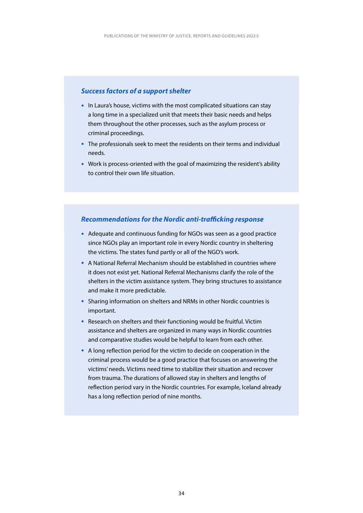#### *Success factors of a support shelter*

- In Laura's house, victims with the most complicated situations can stay a long time in a specialized unit that meets their basic needs and helps them throughout the other processes, such as the asylum process or criminal proceedings.
- The professionals seek to meet the residents on their terms and individual needs.
- Work is process-oriented with the goal of maximizing the resident's ability to control their own life situation.

#### *Recommendations for the Nordic anti-trafficking response*

- Adequate and continuous funding for NGOs was seen as a good practice since NGOs play an important role in every Nordic country in sheltering the victims. The states fund partly or all of the NGO's work.
- A National Referral Mechanism should be established in countries where it does not exist yet. National Referral Mechanisms clarify the role of the shelters in the victim assistance system. They bring structures to assistance and make it more predictable.
- Sharing information on shelters and NRMs in other Nordic countries is important.
- Research on shelters and their functioning would be fruitful. Victim assistance and shelters are organized in many ways in Nordic countries and comparative studies would be helpful to learn from each other.
- A long reflection period for the victim to decide on cooperation in the criminal process would be a good practice that focuses on answering the victims' needs. Victims need time to stabilize their situation and recover from trauma. The durations of allowed stay in shelters and lengths of reflection period vary in the Nordic countries. For example, Iceland already has a long reflection period of nine months.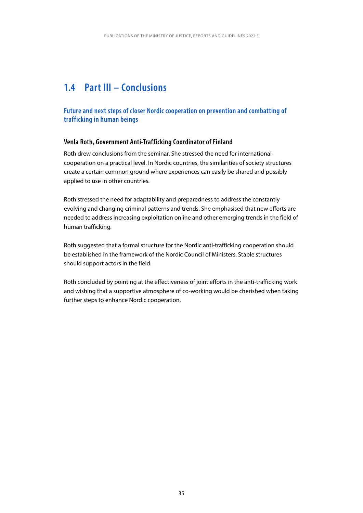# <span id="page-35-0"></span>**1.4 Part III – Conclusions**

#### **Future and next steps of closer Nordic cooperation on prevention and combatting of trafficking in human beings**

#### **Venla Roth, Government Anti-Trafficking Coordinator of Finland**

Roth drew conclusions from the seminar. She stressed the need for international cooperation on a practical level. In Nordic countries, the similarities of society structures create a certain common ground where experiences can easily be shared and possibly applied to use in other countries.

Roth stressed the need for adaptability and preparedness to address the constantly evolving and changing criminal patterns and trends. She emphasised that new efforts are needed to address increasing exploitation online and other emerging trends in the field of human trafficking.

Roth suggested that a formal structure for the Nordic anti-trafficking cooperation should be established in the framework of the Nordic Council of Ministers. Stable structures should support actors in the field.

Roth concluded by pointing at the effectiveness of joint efforts in the anti-trafficking work and wishing that a supportive atmosphere of co-working would be cherished when taking further steps to enhance Nordic cooperation.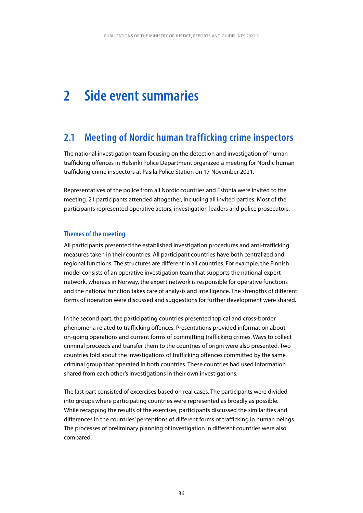# <span id="page-36-0"></span>**2 Side event summaries**

# **2.1 Meeting of Nordic human trafficking crime inspectors**

The national investigation team focusing on the detection and investigation of human trafficking offences in Helsinki Police Department organized a meeting for Nordic human trafficking crime inspectors at Pasila Police Station on 17 November 2021.

Representatives of the police from all Nordic countries and Estonia were invited to the meeting. 21 participants attended altogether, including all invited parties. Most of the participants represented operative actors, investigation leaders and police prosecutors.

#### **Themes of the meeting**

All participants presented the established investigation procedures and anti-trafficking measures taken in their countries. All participant countries have both centralized and regional functions. The structures are different in all countries. For example, the Finnish model consists of an operative investigation team that supports the national expert network, whereas in Norway, the expert network is responsible for operative functions and the national function takes care of analysis and intelligence. The strengths of different forms of operation were discussed and suggestions for further development were shared.

In the second part, the participating countries presented topical and cross-border phenomena related to trafficking offences. Presentations provided information about on-going operations and current forms of committing trafficking crimes. Ways to collect criminal proceeds and transfer them to the countries of origin were also presented. Two countries told about the investigations of trafficking offences committed by the same criminal group that operated in both countries. These countries had used information shared from each other's investigations in their own investigations.

The last part consisted of excercises based on real cases. The participants were divided into groups where participating countries were represented as broadly as possible. While recapping the results of the exercises, participants discussed the similarities and differences in the countries' perceptions of different forms of trafficking in human beings. The processes of preliminary planning of investigation in different countries were also compared.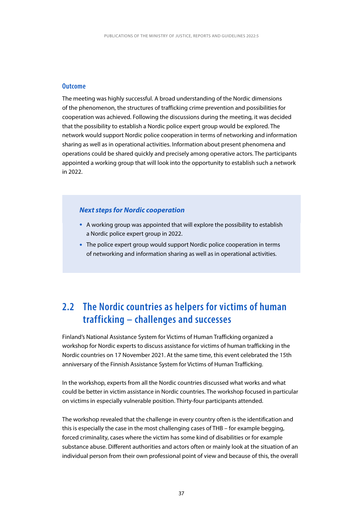#### <span id="page-37-0"></span>**Outcome**

The meeting was highly successful. A broad understanding of the Nordic dimensions of the phenomenon, the structures of trafficking crime prevention and possibilities for cooperation was achieved. Following the discussions during the meeting, it was decided that the possibility to establish a Nordic police expert group would be explored. The network would support Nordic police cooperation in terms of networking and information sharing as well as in operational activities. Information about present phenomena and operations could be shared quickly and precisely among operative actors. The participants appointed a working group that will look into the opportunity to establish such a network in 2022.

#### *Next steps for Nordic cooperation*

- A working group was appointed that will explore the possibility to establish a Nordic police expert group in 2022.
- The police expert group would support Nordic police cooperation in terms of networking and information sharing as well as in operational activities.

# **2.2 The Nordic countries as helpers for victims of human trafficking – challenges and successes**

Finland's National Assistance System for Victims of Human Trafficking organized a workshop for Nordic experts to discuss assistance for victims of human trafficking in the Nordic countries on 17 November 2021. At the same time, this event celebrated the 15th anniversary of the Finnish Assistance System for Victims of Human Trafficking.

In the workshop, experts from all the Nordic countries discussed what works and what could be better in victim assistance in Nordic countries. The workshop focused in particular on victims in especially vulnerable position. Thirty-four participants attended.

The workshop revealed that the challenge in every country often is the identification and this is especially the case in the most challenging cases of THB – for example begging, forced criminality, cases where the victim has some kind of disabilities or for example substance abuse. Different authorities and actors often or mainly look at the situation of an individual person from their own professional point of view and because of this, the overall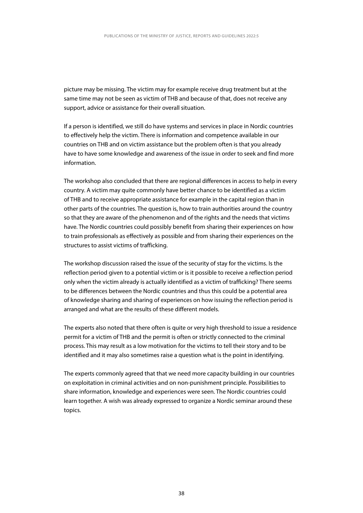picture may be missing. The victim may for example receive drug treatment but at the same time may not be seen as victim of THB and because of that, does not receive any support, advice or assistance for their overall situation.

If a person is identified, we still do have systems and services in place in Nordic countries to effectively help the victim. There is information and competence available in our countries on THB and on victim assistance but the problem often is that you already have to have some knowledge and awareness of the issue in order to seek and find more information.

The workshop also concluded that there are regional differences in access to help in every country. A victim may quite commonly have better chance to be identified as a victim of THB and to receive appropriate assistance for example in the capital region than in other parts of the countries. The question is, how to train authorities around the country so that they are aware of the phenomenon and of the rights and the needs that victims have. The Nordic countries could possibly benefit from sharing their experiences on how to train professionals as effectively as possible and from sharing their experiences on the structures to assist victims of trafficking.

The workshop discussion raised the issue of the security of stay for the victims. Is the reflection period given to a potential victim or is it possible to receive a reflection period only when the victim already is actually identified as a victim of trafficking? There seems to be differences between the Nordic countries and thus this could be a potential area of knowledge sharing and sharing of experiences on how issuing the reflection period is arranged and what are the results of these different models.

The experts also noted that there often is quite or very high threshold to issue a residence permit for a victim of THB and the permit is often or strictly connected to the criminal process. This may result as a low motivation for the victims to tell their story and to be identified and it may also sometimes raise a question what is the point in identifying.

The experts commonly agreed that that we need more capacity building in our countries on exploitation in criminal activities and on non-punishment principle. Possibilities to share information, knowledge and experiences were seen. The Nordic countries could learn together. A wish was already expressed to organize a Nordic seminar around these topics.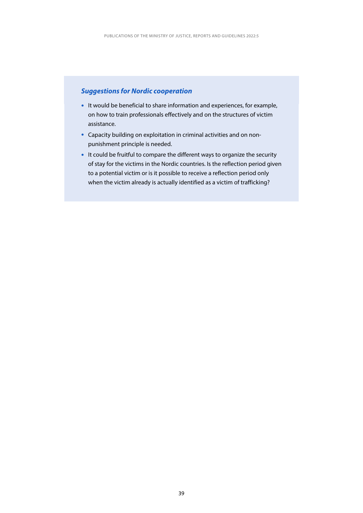#### *Suggestions for Nordic cooperation*

- It would be beneficial to share information and experiences, for example, on how to train professionals effectively and on the structures of victim assistance.
- Capacity building on exploitation in criminal activities and on nonpunishment principle is needed.
- It could be fruitful to compare the different ways to organize the security of stay for the victims in the Nordic countries. Is the reflection period given to a potential victim or is it possible to receive a reflection period only when the victim already is actually identified as a victim of trafficking?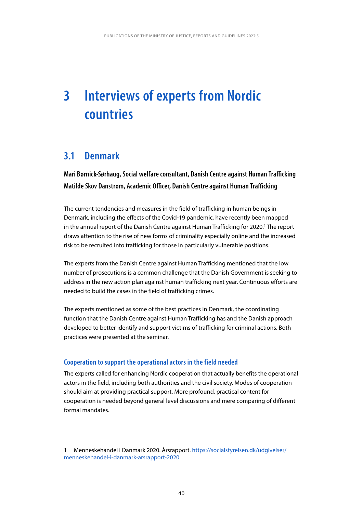# <span id="page-40-0"></span>**3 Interviews of experts from Nordic countries**

# **3.1 Denmark**

**Mari Børnick-Sørhaug, Social welfare consultant, Danish Centre against Human Trafficking Matilde Skov Danstrøm, Academic Officer, Danish Centre against Human Trafficking**

The current tendencies and measures in the field of trafficking in human beings in Denmark, including the effects of the Covid-19 pandemic, have recently been mapped in the annual report of the Danish Centre against Human Trafficking for 2020.<sup>1</sup> The report draws attention to the rise of new forms of criminality especially online and the increased risk to be recruited into trafficking for those in particularly vulnerable positions.

The experts from the Danish Centre against Human Trafficking mentioned that the low number of prosecutions is a common challenge that the Danish Government is seeking to address in the new action plan against human trafficking next year. Continuous efforts are needed to build the cases in the field of trafficking crimes.

The experts mentioned as some of the best practices in Denmark, the coordinating function that the Danish Centre against Human Trafficking has and the Danish approach developed to better identify and support victims of trafficking for criminal actions. Both practices were presented at the seminar.

#### **Cooperation to support the operational actors in the field needed**

The experts called for enhancing Nordic cooperation that actually benefits the operational actors in the field, including both authorities and the civil society. Modes of cooperation should aim at providing practical support. More profound, practical content for cooperation is needed beyond general level discussions and mere comparing of different formal mandates.

<sup>1</sup> Menneskehandel i Danmark 2020. Årsrapport. [https://socialstyrelsen.dk/udgivelser/](https://socialstyrelsen.dk/udgivelser/menneskehandel-i-danmark-arsrapport-2020) [menneskehandel-i-danmark-arsrapport-2020](https://socialstyrelsen.dk/udgivelser/menneskehandel-i-danmark-arsrapport-2020)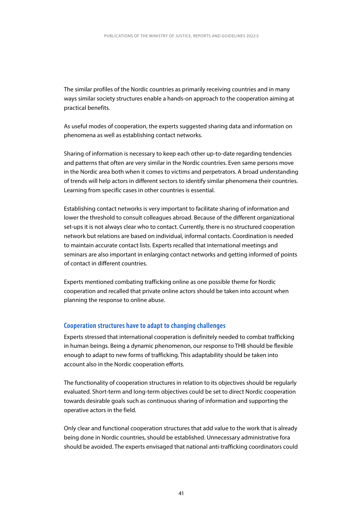The similar profiles of the Nordic countries as primarily receiving countries and in many ways similar society structures enable a hands-on approach to the cooperation aiming at practical benefits.

As useful modes of cooperation, the experts suggested sharing data and information on phenomena as well as establishing contact networks.

Sharing of information is necessary to keep each other up-to-date regarding tendencies and patterns that often are very similar in the Nordic countries. Even same persons move in the Nordic area both when it comes to victims and perpetrators. A broad understanding of trends will help actors in different sectors to identify similar phenomena their countries. Learning from specific cases in other countries is essential.

Establishing contact networks is very important to facilitate sharing of information and lower the threshold to consult colleagues abroad. Because of the different organizational set-ups it is not always clear who to contact. Currently, there is no structured cooperation network but relations are based on individual, informal contacts. Coordination is needed to maintain accurate contact lists. Experts recalled that international meetings and seminars are also important in enlarging contact networks and getting informed of points of contact in different countries.

Experts mentioned combating trafficking online as one possible theme for Nordic cooperation and recalled that private online actors should be taken into account when planning the response to online abuse.

#### **Cooperation structures have to adapt to changing challenges**

Experts stressed that international cooperation is definitely needed to combat trafficking in human beings. Being a dynamic phenomenon, our response to THB should be flexible enough to adapt to new forms of trafficking. This adaptability should be taken into account also in the Nordic cooperation efforts.

The functionality of cooperation structures in relation to its objectives should be regularly evaluated. Short-term and long-term objectives could be set to direct Nordic cooperation towards desirable goals such as continuous sharing of information and supporting the operative actors in the field.

Only clear and functional cooperation structures that add value to the work that is already being done in Nordic countries, should be established. Unnecessary administrative fora should be avoided. The experts envisaged that national anti-trafficking coordinators could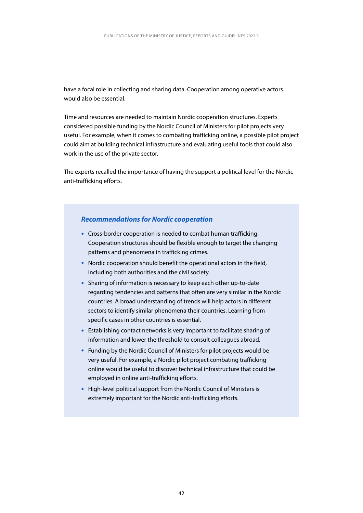have a focal role in collecting and sharing data. Cooperation among operative actors would also be essential.

Time and resources are needed to maintain Nordic cooperation structures. Experts considered possible funding by the Nordic Council of Ministers for pilot projects very useful. For example, when it comes to combating trafficking online, a possible pilot project could aim at building technical infrastructure and evaluating useful tools that could also work in the use of the private sector.

The experts recalled the importance of having the support a political level for the Nordic anti-trafficking efforts.

#### *Recommendations for Nordic cooperation*

- Cross-border cooperation is needed to combat human trafficking. Cooperation structures should be flexible enough to target the changing patterns and phenomena in trafficking crimes.
- Nordic cooperation should benefit the operational actors in the field, including both authorities and the civil society.
- Sharing of information is necessary to keep each other up-to-date regarding tendencies and patterns that often are very similar in the Nordic countries. A broad understanding of trends will help actors in different sectors to identify similar phenomena their countries. Learning from specific cases in other countries is essential.
- Establishing contact networks is very important to facilitate sharing of information and lower the threshold to consult colleagues abroad.
- Funding by the Nordic Council of Ministers for pilot projects would be very useful. For example, a Nordic pilot project combating trafficking online would be useful to discover technical infrastructure that could be employed in online anti-trafficking efforts.
- High-level political support from the Nordic Council of Ministers is extremely important for the Nordic anti-trafficking efforts.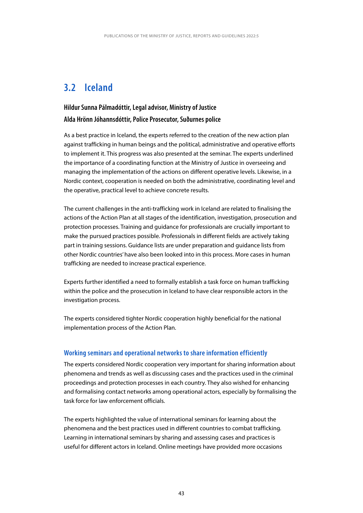# <span id="page-43-0"></span>**3.2 Iceland**

# **Hildur Sunna Pálmadóttir, Legal advisor, Ministry of Justice Alda Hrönn Jóhannsdóttir, Police Prosecutor, Suðurnes police**

As a best practice in Iceland, the experts referred to the creation of the new action plan against trafficking in human beings and the political, administrative and operative efforts to implement it. This progress was also presented at the seminar. The experts underlined the importance of a coordinating function at the Ministry of Justice in overseeing and managing the implementation of the actions on different operative levels. Likewise, in a Nordic context, cooperation is needed on both the administrative, coordinating level and the operative, practical level to achieve concrete results.

The current challenges in the anti-trafficking work in Iceland are related to finalising the actions of the Action Plan at all stages of the identification, investigation, prosecution and protection processes. Training and guidance for professionals are crucially important to make the pursued practices possible. Professionals in different fields are actively taking part in training sessions. Guidance lists are under preparation and guidance lists from other Nordic countries' have also been looked into in this process. More cases in human trafficking are needed to increase practical experience.

Experts further identified a need to formally establish a task force on human trafficking within the police and the prosecution in Iceland to have clear responsible actors in the investigation process.

The experts considered tighter Nordic cooperation highly beneficial for the national implementation process of the Action Plan.

#### **Working seminars and operational networks to share information efficiently**

The experts considered Nordic cooperation very important for sharing information about phenomena and trends as well as discussing cases and the practices used in the criminal proceedings and protection processes in each country. They also wished for enhancing and formalising contact networks among operational actors, especially by formalising the task force for law enforcement officials.

The experts highlighted the value of international seminars for learning about the phenomena and the best practices used in different countries to combat trafficking. Learning in international seminars by sharing and assessing cases and practices is useful for different actors in Iceland. Online meetings have provided more occasions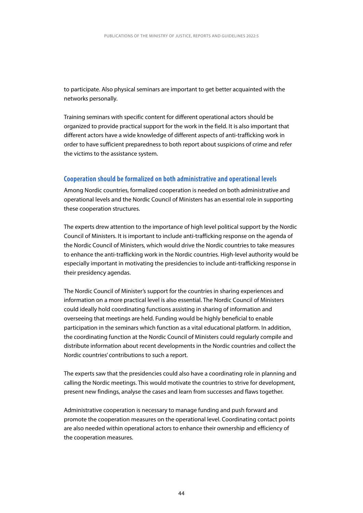to participate. Also physical seminars are important to get better acquainted with the networks personally.

Training seminars with specific content for different operational actors should be organized to provide practical support for the work in the field. It is also important that different actors have a wide knowledge of different aspects of anti-trafficking work in order to have sufficient preparedness to both report about suspicions of crime and refer the victims to the assistance system.

#### **Cooperation should be formalized on both administrative and operational levels**

Among Nordic countries, formalized cooperation is needed on both administrative and operational levels and the Nordic Council of Ministers has an essential role in supporting these cooperation structures.

The experts drew attention to the importance of high level political support by the Nordic Council of Ministers. It is important to include anti-trafficking response on the agenda of the Nordic Council of Ministers, which would drive the Nordic countries to take measures to enhance the anti-trafficking work in the Nordic countries. High-level authority would be especially important in motivating the presidencies to include anti-trafficking response in their presidency agendas.

The Nordic Council of Minister's support for the countries in sharing experiences and information on a more practical level is also essential. The Nordic Council of Ministers could ideally hold coordinating functions assisting in sharing of information and overseeing that meetings are held. Funding would be highly beneficial to enable participation in the seminars which function as a vital educational platform. In addition, the coordinating function at the Nordic Council of Ministers could regularly compile and distribute information about recent developments in the Nordic countries and collect the Nordic countries' contributions to such a report.

The experts saw that the presidencies could also have a coordinating role in planning and calling the Nordic meetings. This would motivate the countries to strive for development, present new findings, analyse the cases and learn from successes and flaws together.

Administrative cooperation is necessary to manage funding and push forward and promote the cooperation measures on the operational level. Coordinating contact points are also needed within operational actors to enhance their ownership and efficiency of the cooperation measures.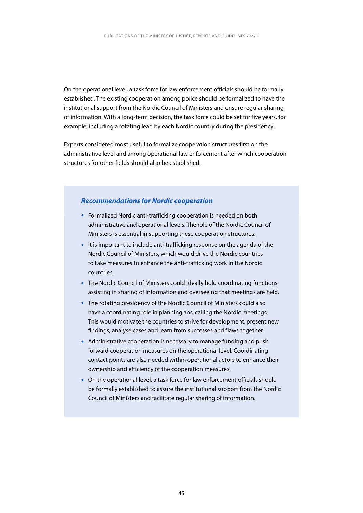On the operational level, a task force for law enforcement officials should be formally established. The existing cooperation among police should be formalized to have the institutional support from the Nordic Council of Ministers and ensure regular sharing of information. With a long-term decision, the task force could be set for five years, for example, including a rotating lead by each Nordic country during the presidency.

Experts considered most useful to formalize cooperation structures first on the administrative level and among operational law enforcement after which cooperation structures for other fields should also be established.

#### *Recommendations for Nordic cooperation*

- Formalized Nordic anti-trafficking cooperation is needed on both administrative and operational levels. The role of the Nordic Council of Ministers is essential in supporting these cooperation structures.
- It is important to include anti-trafficking response on the agenda of the Nordic Council of Ministers, which would drive the Nordic countries to take measures to enhance the anti-trafficking work in the Nordic countries.
- The Nordic Council of Ministers could ideally hold coordinating functions assisting in sharing of information and overseeing that meetings are held.
- The rotating presidency of the Nordic Council of Ministers could also have a coordinating role in planning and calling the Nordic meetings. This would motivate the countries to strive for development, present new findings, analyse cases and learn from successes and flaws together.
- Administrative cooperation is necessary to manage funding and push forward cooperation measures on the operational level. Coordinating contact points are also needed within operational actors to enhance their ownership and efficiency of the cooperation measures.
- On the operational level, a task force for law enforcement officials should be formally established to assure the institutional support from the Nordic Council of Ministers and facilitate regular sharing of information.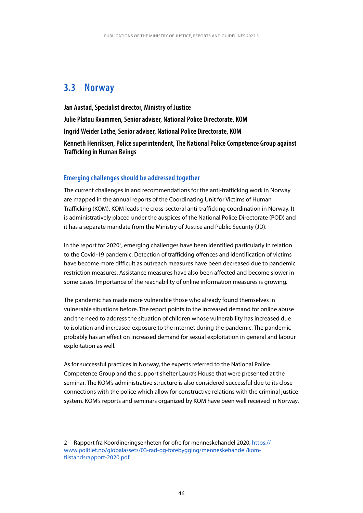# <span id="page-46-0"></span>**3.3 Norway**

**Jan Austad, Specialist director, Ministry of Justice Julie Platou Kvammen, Senior adviser, National Police Directorate, KOM Ingrid Weider Lothe, Senior adviser, National Police Directorate, KOM Kenneth Henriksen, Police superintendent, The National Police Competence Group against Trafficking in Human Beings**

#### **Emerging challenges should be addressed together**

The current challenges in and recommendations for the anti-trafficking work in Norway are mapped in the annual reports of the Coordinating Unit for Victims of Human Trafficking (KOM). KOM leads the cross-sectoral anti-trafficking coordination in Norway. It is administratively placed under the auspices of the National Police Directorate (POD) and it has a separate mandate from the Ministry of Justice and Public Security (JD).

In the report for 2020<sup>2</sup>, emerging challenges have been identified particularly in relation to the Covid-19 pandemic. Detection of trafficking offences and identification of victims have become more difficult as outreach measures have been decreased due to pandemic restriction measures. Assistance measures have also been affected and become slower in some cases. Importance of the reachability of online information measures is growing.

The pandemic has made more vulnerable those who already found themselves in vulnerable situations before. The report points to the increased demand for online abuse and the need to address the situation of children whose vulnerability has increased due to isolation and increased exposure to the internet during the pandemic. The pandemic probably has an effect on increased demand for sexual exploitation in general and labour exploitation as well.

As for successful practices in Norway, the experts referred to the National Police Competence Group and the support shelter Laura's House that were presented at the seminar. The KOM's administrative structure is also considered successful due to its close connections with the police which allow for constructive relations with the criminal justice system. KOM's reports and seminars organized by KOM have been well received in Norway.

<sup>2</sup> Rapport fra Koordineringsenheten for ofre for menneskehandel 2020, [https://](https://www.politiet.no/globalassets/03-rad-og-forebygging/menneskehandel/kom-tilstandsrapport-2020.pdf) [www.politiet.no/globalassets/03-rad-og-forebygging/menneskehandel/kom](https://www.politiet.no/globalassets/03-rad-og-forebygging/menneskehandel/kom-tilstandsrapport-2020.pdf)[tilstandsrapport-2020.pdf](https://www.politiet.no/globalassets/03-rad-og-forebygging/menneskehandel/kom-tilstandsrapport-2020.pdf)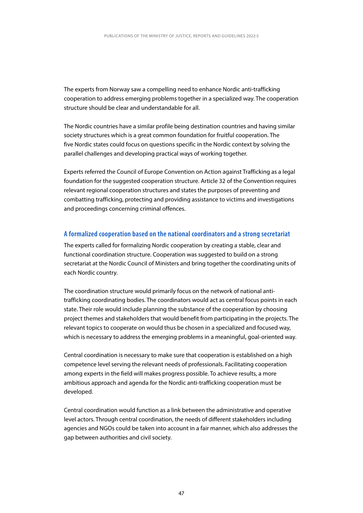The experts from Norway saw a compelling need to enhance Nordic anti-trafficking cooperation to address emerging problems together in a specialized way. The cooperation structure should be clear and understandable for all.

The Nordic countries have a similar profile being destination countries and having similar society structures which is a great common foundation for fruitful cooperation. The five Nordic states could focus on questions specific in the Nordic context by solving the parallel challenges and developing practical ways of working together.

Experts referred the Council of Europe Convention on Action against Trafficking as a legal foundation for the suggested cooperation structure. Article 32 of the Convention requires relevant regional cooperation structures and states the purposes of preventing and combatting trafficking, protecting and providing assistance to victims and investigations and proceedings concerning criminal offences.

#### **A formalized cooperation based on the national coordinators and a strong secretariat**

The experts called for formalizing Nordic cooperation by creating a stable, clear and functional coordination structure. Cooperation was suggested to build on a strong secretariat at the Nordic Council of Ministers and bring together the coordinating units of each Nordic country.

The coordination structure would primarily focus on the network of national antitrafficking coordinating bodies. The coordinators would act as central focus points in each state. Their role would include planning the substance of the cooperation by choosing project themes and stakeholders that would benefit from participating in the projects. The relevant topics to cooperate on would thus be chosen in a specialized and focused way, which is necessary to address the emerging problems in a meaningful, goal-oriented way.

Central coordination is necessary to make sure that cooperation is established on a high competence level serving the relevant needs of professionals. Facilitating cooperation among experts in the field will makes progress possible. To achieve results, a more ambitious approach and agenda for the Nordic anti-trafficking cooperation must be developed.

Central coordination would function as a link between the administrative and operative level actors. Through central coordination, the needs of different stakeholders including agencies and NGOs could be taken into account in a fair manner, which also addresses the gap between authorities and civil society.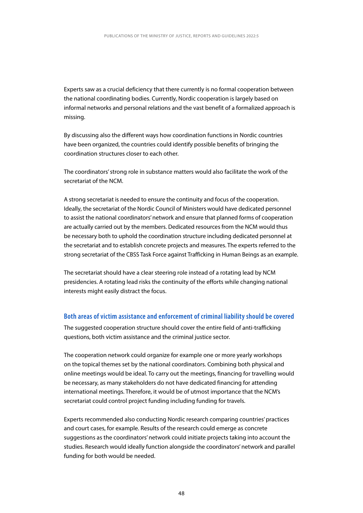Experts saw as a crucial deficiency that there currently is no formal cooperation between the national coordinating bodies. Currently, Nordic cooperation is largely based on informal networks and personal relations and the vast benefit of a formalized approach is missing.

By discussing also the different ways how coordination functions in Nordic countries have been organized, the countries could identify possible benefits of bringing the coordination structures closer to each other.

The coordinators' strong role in substance matters would also facilitate the work of the secretariat of the NCM.

A strong secretariat is needed to ensure the continuity and focus of the cooperation. Ideally, the secretariat of the Nordic Council of Ministers would have dedicated personnel to assist the national coordinators' network and ensure that planned forms of cooperation are actually carried out by the members. Dedicated resources from the NCM would thus be necessary both to uphold the coordination structure including dedicated personnel at the secretariat and to establish concrete projects and measures. The experts referred to the strong secretariat of the CBSS Task Force against Trafficking in Human Beings as an example.

The secretariat should have a clear steering role instead of a rotating lead by NCM presidencies. A rotating lead risks the continuity of the efforts while changing national interests might easily distract the focus.

#### **Both areas of victim assistance and enforcement of criminal liability should be covered**

The suggested cooperation structure should cover the entire field of anti-trafficking questions, both victim assistance and the criminal justice sector.

The cooperation network could organize for example one or more yearly workshops on the topical themes set by the national coordinators. Combining both physical and online meetings would be ideal. To carry out the meetings, financing for travelling would be necessary, as many stakeholders do not have dedicated financing for attending international meetings. Therefore, it would be of utmost importance that the NCM's secretariat could control project funding including funding for travels.

Experts recommended also conducting Nordic research comparing countries' practices and court cases, for example. Results of the research could emerge as concrete suggestions as the coordinators' network could initiate projects taking into account the studies. Research would ideally function alongside the coordinators' network and parallel funding for both would be needed.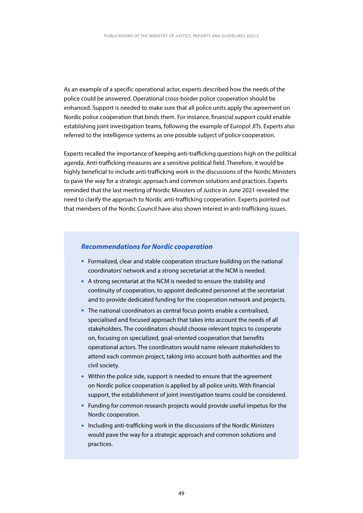As an example of a specific operational actor, experts described how the needs of the police could be answered. Operational cross-border police cooperation should be enhanced. Support is needed to make sure that all police units apply the agreement on Nordic police cooperation that binds them. For instance, financial support could enable establishing joint investigation teams, following the example of Europol JITs. Experts also referred to the intelligence systems as one possible subject of police cooperation.

Experts recalled the importance of keeping anti-trafficking questions high on the political agenda. Anti-trafficking measures are a sensitive political field. Therefore, it would be highly beneficial to include anti-trafficking work in the discussions of the Nordic Ministers to pave the way for a strategic approach and common solutions and practices. Experts reminded that the last meeting of Nordic Ministers of Justice in June 2021 revealed the need to clarify the approach to Nordic anti-trafficking cooperation. Experts pointed out that members of the Nordic Council have also shown interest in anti-trafficking issues.

#### *Recommendations for Nordic cooperation*

- Formalized, clear and stable cooperation structure building on the national coordinators' network and a strong secretariat at the NCM is needed.
- A strong secretariat at the NCM is needed to ensure the stability and continuity of cooperation, to appoint dedicated personnel at the secretariat and to provide dedicated funding for the cooperation network and projects.
- The national coordinators as central focus points enable a centralised, specialised and focused approach that takes into account the needs of all stakeholders. The coordinators should choose relevant topics to cooperate on, focusing on specialized, goal-oriented cooperation that benefits operational actors. The coordinators would name relevant stakeholders to attend each common project, taking into account both authorities and the civil society.
- Within the police side, support is needed to ensure that the agreement on Nordic police cooperation is applied by all police units. With financial support, the establishment of joint investigation teams could be considered.
- Funding for common research projects would provide useful impetus for the Nordic cooperation.
- Including anti-trafficking work in the discussions of the Nordic Ministers would pave the way for a strategic approach and common solutions and practices.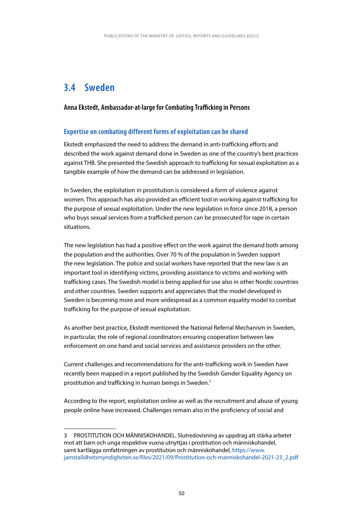# <span id="page-50-0"></span>**3.4 Sweden**

#### **Anna Ekstedt, Ambassador-at-large for Combating Trafficking in Persons**

#### **Expertise on combating different forms of exploitation can be shared**

Ekstedt emphasized the need to address the demand in anti-trafficking efforts and described the work against demand done in Sweden as one of the country's best practices against THB. She presented the Swedish approach to trafficking for sexual exploitation as a tangible example of how the demand can be addressed in legislation.

In Sweden, the exploitation in prostitution is considered a form of violence against women. This approach has also provided an efficient tool in working against trafficking for the purpose of sexual exploitation. Under the new legislation in force since 2018, a person who buys sexual services from a trafficked person can be prosecuted for rape in certain situations.

The new legislation has had a positive effect on the work against the demand both among the population and the authorities. Over 70 % of the population in Sweden support the new legislation. The police and social workers have reported that the new law is an important tool in identifying victims, providing assistance to victims and working with trafficking cases. The Swedish model is being applied for use also in other Nordic countries and other countries. Sweden supports and appreciates that the model developed in Sweden is becoming more and more widespread as a common equality model to combat trafficking for the purpose of sexual exploitation.

As another best practice, Ekstedt mentioned the National Referral Mechanism in Sweden, in particular, the role of regional coordinators ensuring cooperation between law enforcement on one hand and social services and assistance providers on the other.

Current challenges and recommendations for the anti-trafficking work in Sweden have recently been mapped in a report published by the Swedish Gender Equality Agency on prostitution and trafficking in human beings in Sweden.<sup>3</sup>

According to the report, exploitation online as well as the recruitment and abuse of young people online have increased. Challenges remain also in the proficiency of social and

<sup>3</sup> PROSTITUTION OCH MÄNNISKOHANDEL. Slutredovisning av uppdrag att stärka arbetet mot att barn och unga respektive vuxna utnyttjas i prostitution och människohandel, samt kartlägga omfattningen av prostitution och människohandel, [https://www.](https://www.jamstalldhetsmyndigheten.se/files/2021/09/Prostitution-och-manniskohandel-2021-23_2.pdf) [jamstalldhetsmyndigheten.se/files/2021/09/Prostitution-och-manniskohandel-2021-23\\_2.pdf](https://www.jamstalldhetsmyndigheten.se/files/2021/09/Prostitution-och-manniskohandel-2021-23_2.pdf)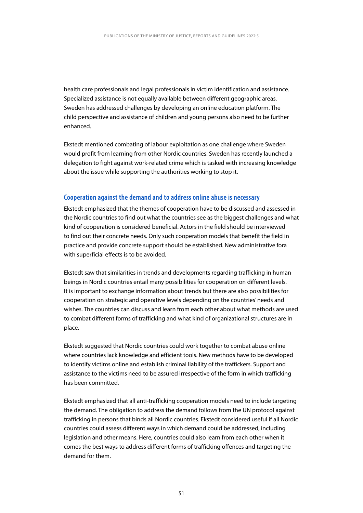health care professionals and legal professionals in victim identification and assistance. Specialized assistance is not equally available between different geographic areas. Sweden has addressed challenges by developing an online education platform. The child perspective and assistance of children and young persons also need to be further enhanced.

Ekstedt mentioned combating of labour exploitation as one challenge where Sweden would profit from learning from other Nordic countries. Sweden has recently launched a delegation to fight against work-related crime which is tasked with increasing knowledge about the issue while supporting the authorities working to stop it.

#### **Cooperation against the demand and to address online abuse is necessary**

Ekstedt emphasized that the themes of cooperation have to be discussed and assessed in the Nordic countries to find out what the countries see as the biggest challenges and what kind of cooperation is considered beneficial. Actors in the field should be interviewed to find out their concrete needs. Only such cooperation models that benefit the field in practice and provide concrete support should be established. New administrative fora with superficial effects is to be avoided.

Ekstedt saw that similarities in trends and developments regarding trafficking in human beings in Nordic countries entail many possibilities for cooperation on different levels. It is important to exchange information about trends but there are also possibilities for cooperation on strategic and operative levels depending on the countries' needs and wishes. The countries can discuss and learn from each other about what methods are used to combat different forms of trafficking and what kind of organizational structures are in place.

Ekstedt suggested that Nordic countries could work together to combat abuse online where countries lack knowledge and efficient tools. New methods have to be developed to identify victims online and establish criminal liability of the traffickers. Support and assistance to the victims need to be assured irrespective of the form in which trafficking has been committed.

Ekstedt emphasized that all anti-trafficking cooperation models need to include targeting the demand. The obligation to address the demand follows from the UN protocol against trafficking in persons that binds all Nordic countries. Ekstedt considered useful if all Nordic countries could assess different ways in which demand could be addressed, including legislation and other means. Here, countries could also learn from each other when it comes the best ways to address different forms of trafficking offences and targeting the demand for them.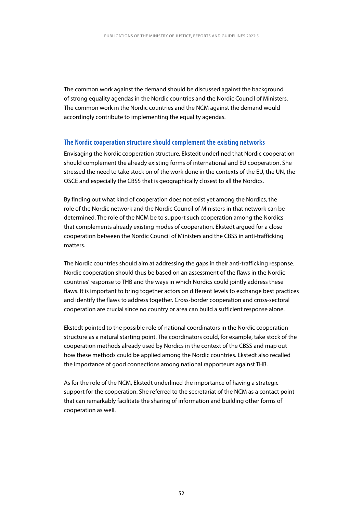The common work against the demand should be discussed against the background of strong equality agendas in the Nordic countries and the Nordic Council of Ministers. The common work in the Nordic countries and the NCM against the demand would accordingly contribute to implementing the equality agendas.

#### **The Nordic cooperation structure should complement the existing networks**

Envisaging the Nordic cooperation structure, Ekstedt underlined that Nordic cooperation should complement the already existing forms of international and EU cooperation. She stressed the need to take stock on of the work done in the contexts of the EU, the UN, the OSCE and especially the CBSS that is geographically closest to all the Nordics.

By finding out what kind of cooperation does not exist yet among the Nordics, the role of the Nordic network and the Nordic Council of Ministers in that network can be determined. The role of the NCM be to support such cooperation among the Nordics that complements already existing modes of cooperation. Ekstedt argued for a close cooperation between the Nordic Council of Ministers and the CBSS in anti-trafficking matters.

The Nordic countries should aim at addressing the gaps in their anti-trafficking response. Nordic cooperation should thus be based on an assessment of the flaws in the Nordic countries' response to THB and the ways in which Nordics could jointly address these flaws. It is important to bring together actors on different levels to exchange best practices and identify the flaws to address together. Cross-border cooperation and cross-sectoral cooperation are crucial since no country or area can build a sufficient response alone.

Ekstedt pointed to the possible role of national coordinators in the Nordic cooperation structure as a natural starting point. The coordinators could, for example, take stock of the cooperation methods already used by Nordics in the context of the CBSS and map out how these methods could be applied among the Nordic countries. Ekstedt also recalled the importance of good connections among national rapporteurs against THB.

As for the role of the NCM, Ekstedt underlined the importance of having a strategic support for the cooperation. She referred to the secretariat of the NCM as a contact point that can remarkably facilitate the sharing of information and building other forms of cooperation as well.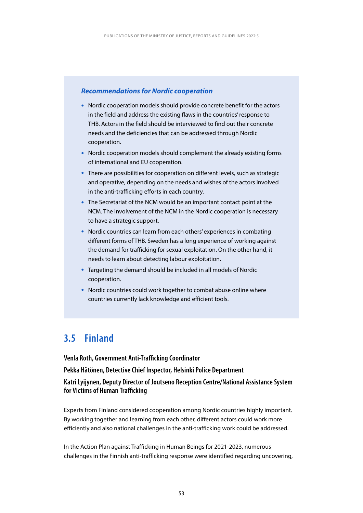#### <span id="page-53-0"></span>*Recommendations for Nordic cooperation*

- Nordic cooperation models should provide concrete benefit for the actors in the field and address the existing flaws in the countries' response to THB. Actors in the field should be interviewed to find out their concrete needs and the deficiencies that can be addressed through Nordic cooperation.
- Nordic cooperation models should complement the already existing forms of international and EU cooperation.
- There are possibilities for cooperation on different levels, such as strategic and operative, depending on the needs and wishes of the actors involved in the anti-trafficking efforts in each country.
- The Secretariat of the NCM would be an important contact point at the NCM. The involvement of the NCM in the Nordic cooperation is necessary to have a strategic support.
- Nordic countries can learn from each others' experiences in combating different forms of THB. Sweden has a long experience of working against the demand for trafficking for sexual exploitation. On the other hand, it needs to learn about detecting labour exploitation.
- Targeting the demand should be included in all models of Nordic cooperation.
- Nordic countries could work together to combat abuse online where countries currently lack knowledge and efficient tools.

# **3.5 Finland**

**Venla Roth, Government Anti-Trafficking Coordinator**

**Pekka Hätönen, Detective Chief Inspector, Helsinki Police Department**

**Katri Lyijynen, Deputy Director of Joutseno Reception Centre/National Assistance System for Victims of Human Trafficking**

Experts from Finland considered cooperation among Nordic countries highly important. By working together and learning from each other, different actors could work more efficiently and also national challenges in the anti-trafficking work could be addressed.

In the Action Plan against Trafficking in Human Beings for 2021-2023, numerous challenges in the Finnish anti-trafficking response were identified regarding uncovering,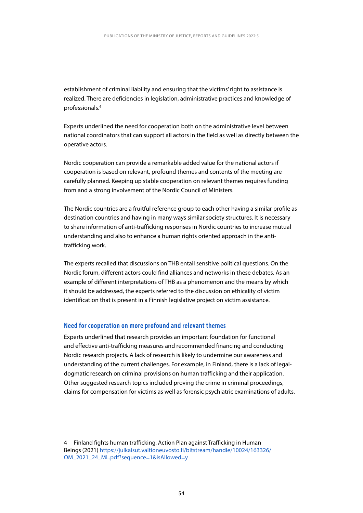establishment of criminal liability and ensuring that the victims' right to assistance is realized. There are deficiencies in legislation, administrative practices and knowledge of professionals.4

Experts underlined the need for cooperation both on the administrative level between national coordinators that can support all actors in the field as well as directly between the operative actors.

Nordic cooperation can provide a remarkable added value for the national actors if cooperation is based on relevant, profound themes and contents of the meeting are carefully planned. Keeping up stable cooperation on relevant themes requires funding from and a strong involvement of the Nordic Council of Ministers.

The Nordic countries are a fruitful reference group to each other having a similar profile as destination countries and having in many ways similar society structures. It is necessary to share information of anti-trafficking responses in Nordic countries to increase mutual understanding and also to enhance a human rights oriented approach in the antitrafficking work.

The experts recalled that discussions on THB entail sensitive political questions. On the Nordic forum, different actors could find alliances and networks in these debates. As an example of different interpretations of THB as a phenomenon and the means by which it should be addressed, the experts referred to the discussion on ethicality of victim identification that is present in a Finnish legislative project on victim assistance.

#### **Need for cooperation on more profound and relevant themes**

Experts underlined that research provides an important foundation for functional and effective anti-trafficking measures and recommended financing and conducting Nordic research projects. A lack of research is likely to undermine our awareness and understanding of the current challenges. For example, in Finland, there is a lack of legaldogmatic research on criminal provisions on human trafficking and their application. Other suggested research topics included proving the crime in criminal proceedings, claims for compensation for victims as well as forensic psychiatric examinations of adults.

<sup>4</sup> Finland fights human trafficking. Action Plan against Trafficking in Human Beings (2021) [https://julkaisut.valtioneuvosto.fi/bitstream/handle/10024/163326/](https://julkaisut.valtioneuvosto.fi/bitstream/handle/10024/163326/OM_2021_24_ML.pdf?sequence=1&isAllowed=y) [OM\\_2021\\_24\\_ML.pdf?sequence=1&isAllowed=y](https://julkaisut.valtioneuvosto.fi/bitstream/handle/10024/163326/OM_2021_24_ML.pdf?sequence=1&isAllowed=y)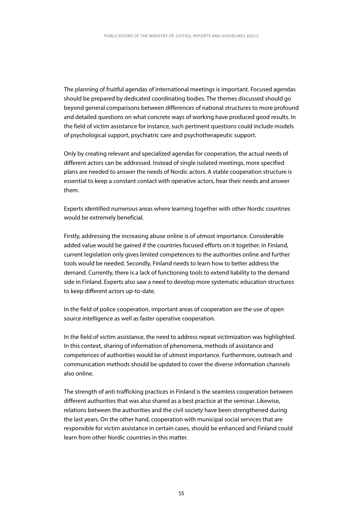The planning of fruitful agendas of international meetings is important. Focused agendas should be prepared by dedicated coordinating bodies. The themes discussed should go beyond general comparisons between differences of national structures to more profound and detailed questions on what concrete ways of working have produced good results. In the field of victim assistance for instance, such pertinent questions could include models of psychological support, psychiatric care and psychotherapeutic support.

Only by creating relevant and specialized agendas for cooperation, the actual needs of different actors can be addressed. Instead of single isolated meetings, more specified plans are needed to answer the needs of Nordic actors. A stable cooperation structure is essential to keep a constant contact with operative actors, hear their needs and answer them.

Experts identified numerous areas where learning together with other Nordic countries would be extremely beneficial.

Firstly, addressing the increasing abuse online is of utmost importance. Considerable added value would be gained if the countries focused efforts on it together. In Finland, current legislation only gives limited competences to the authorities online and further tools would be needed. Secondly, Finland needs to learn how to better address the demand. Currently, there is a lack of functioning tools to extend liability to the demand side in Finland. Experts also saw a need to develop more systematic education structures to keep different actors up-to-date.

In the field of police cooperation, important areas of cooperation are the use of open source intelligence as well as faster operative cooperation.

In the field of victim assistance, the need to address repeat victimization was highlighted. In this context, sharing of information of phenomena, methods of assistance and competences of authorities would be of utmost importance. Furthermore, outreach and communication methods should be updated to cover the diverse information channels also online.

The strength of anti-trafficking practices in Finland is the seamless cooperation between different authorities that was also shared as a best practice at the seminar. Likewise, relations between the authorities and the civil society have been strengthened during the last years. On the other hand, cooperation with municipal social services that are responsible for victim assistance in certain cases, should be enhanced and Finland could learn from other Nordic countries in this matter.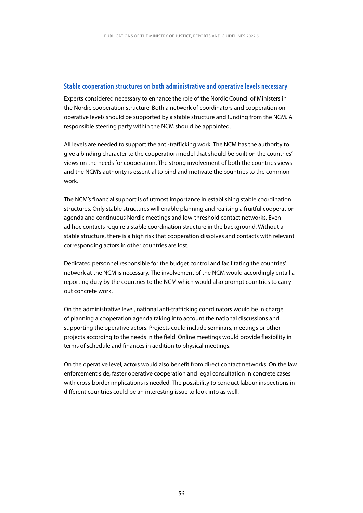#### **Stable cooperation structures on both administrative and operative levels necessary**

Experts considered necessary to enhance the role of the Nordic Council of Ministers in the Nordic cooperation structure. Both a network of coordinators and cooperation on operative levels should be supported by a stable structure and funding from the NCM. A responsible steering party within the NCM should be appointed.

All levels are needed to support the anti-trafficking work. The NCM has the authority to give a binding character to the cooperation model that should be built on the countries' views on the needs for cooperation. The strong involvement of both the countries views and the NCM's authority is essential to bind and motivate the countries to the common work.

The NCM's financial support is of utmost importance in establishing stable coordination structures. Only stable structures will enable planning and realising a fruitful cooperation agenda and continuous Nordic meetings and low-threshold contact networks. Even ad hoc contacts require a stable coordination structure in the background. Without a stable structure, there is a high risk that cooperation dissolves and contacts with relevant corresponding actors in other countries are lost.

Dedicated personnel responsible for the budget control and facilitating the countries' network at the NCM is necessary. The involvement of the NCM would accordingly entail a reporting duty by the countries to the NCM which would also prompt countries to carry out concrete work.

On the administrative level, national anti-trafficking coordinators would be in charge of planning a cooperation agenda taking into account the national discussions and supporting the operative actors. Projects could include seminars, meetings or other projects according to the needs in the field. Online meetings would provide flexibility in terms of schedule and finances in addition to physical meetings.

On the operative level, actors would also benefit from direct contact networks. On the law enforcement side, faster operative cooperation and legal consultation in concrete cases with cross-border implications is needed. The possibility to conduct labour inspections in different countries could be an interesting issue to look into as well.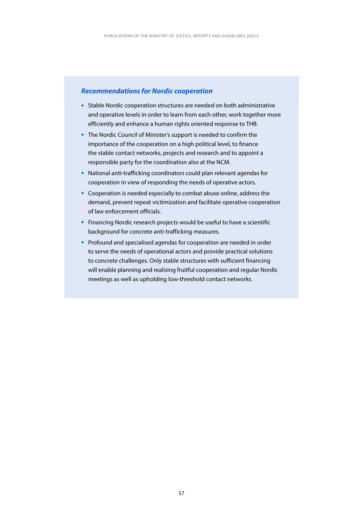#### *Recommendations for Nordic cooperation*

- Stable Nordic cooperation structures are needed on both administrative and operative levels in order to learn from each other, work together more efficiently and enhance a human rights oriented response to THB.
- The Nordic Council of Minister's support is needed to confirm the importance of the cooperation on a high political level, to finance the stable contact networks, projects and research and to appoint a responsible party for the coordination also at the NCM.
- National anti-trafficking coordinators could plan relevant agendas for cooperation in view of responding the needs of operative actors.
- Cooperation is needed especially to combat abuse online, address the demand, prevent repeat victimization and facilitate operative cooperation of law enforcement officials.
- Financing Nordic research projects would be useful to have a scientific background for concrete anti-trafficking measures.
- Profound and specialised agendas for cooperation are needed in order to serve the needs of operational actors and provide practical solutions to concrete challenges. Only stable structures with sufficient financing will enable planning and realising fruitful cooperation and regular Nordic meetings as well as upholding low-threshold contact networks.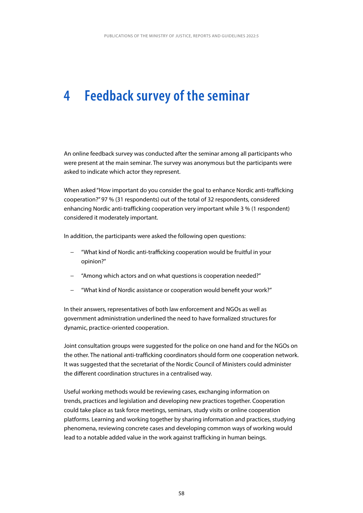# <span id="page-58-0"></span>**4 Feedback survey of the seminar**

An online feedback survey was conducted after the seminar among all participants who were present at the main seminar. The survey was anonymous but the participants were asked to indicate which actor they represent.

When asked "How important do you consider the goal to enhance Nordic anti-trafficking cooperation?" 97 % (31 respondents) out of the total of 32 respondents, considered enhancing Nordic anti-trafficking cooperation very important while 3 % (1 respondent) considered it moderately important.

In addition, the participants were asked the following open questions:

- − "What kind of Nordic anti-trafficking cooperation would be fruitful in your opinion?"
- − "Among which actors and on what questions is cooperation needed?"
- − "What kind of Nordic assistance or cooperation would benefit your work?"

In their answers, representatives of both law enforcement and NGOs as well as government administration underlined the need to have formalized structures for dynamic, practice-oriented cooperation.

Joint consultation groups were suggested for the police on one hand and for the NGOs on the other. The national anti-trafficking coordinators should form one cooperation network. It was suggested that the secretariat of the Nordic Council of Ministers could administer the different coordination structures in a centralised way.

Useful working methods would be reviewing cases, exchanging information on trends, practices and legislation and developing new practices together. Cooperation could take place as task force meetings, seminars, study visits or online cooperation platforms. Learning and working together by sharing information and practices, studying phenomena, reviewing concrete cases and developing common ways of working would lead to a notable added value in the work against trafficking in human beings.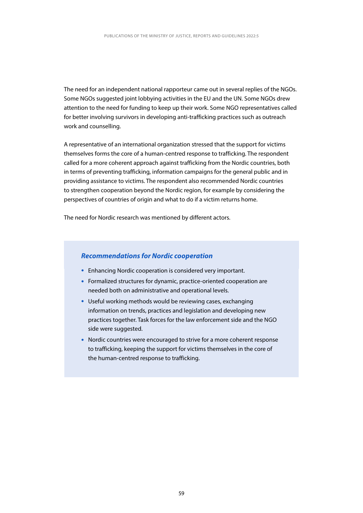The need for an independent national rapporteur came out in several replies of the NGOs. Some NGOs suggested joint lobbying activities in the EU and the UN. Some NGOs drew attention to the need for funding to keep up their work. Some NGO representatives called for better involving survivors in developing anti-trafficking practices such as outreach work and counselling.

A representative of an international organization stressed that the support for victims themselves forms the core of a human-centred response to trafficking. The respondent called for a more coherent approach against trafficking from the Nordic countries, both in terms of preventing trafficking, information campaigns for the general public and in providing assistance to victims. The respondent also recommended Nordic countries to strengthen cooperation beyond the Nordic region, for example by considering the perspectives of countries of origin and what to do if a victim returns home.

The need for Nordic research was mentioned by different actors.

#### *Recommendations for Nordic cooperation*

- Enhancing Nordic cooperation is considered very important.
- Formalized structures for dynamic, practice-oriented cooperation are needed both on administrative and operational levels.
- Useful working methods would be reviewing cases, exchanging information on trends, practices and legislation and developing new practices together. Task forces for the law enforcement side and the NGO side were suggested.
- Nordic countries were encouraged to strive for a more coherent response to trafficking, keeping the support for victims themselves in the core of the human-centred response to trafficking.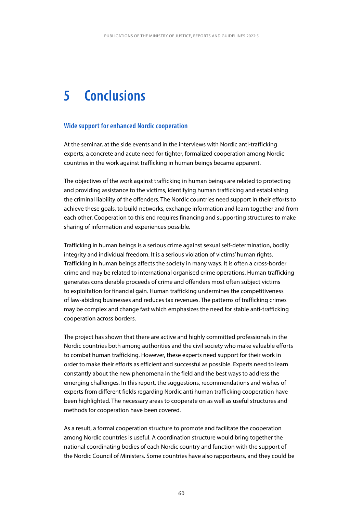# <span id="page-60-0"></span>**5 Conclusions**

#### **Wide support for enhanced Nordic cooperation**

At the seminar, at the side events and in the interviews with Nordic anti-trafficking experts, a concrete and acute need for tighter, formalized cooperation among Nordic countries in the work against trafficking in human beings became apparent.

The objectives of the work against trafficking in human beings are related to protecting and providing assistance to the victims, identifying human trafficking and establishing the criminal liability of the offenders. The Nordic countries need support in their efforts to achieve these goals, to build networks, exchange information and learn together and from each other. Cooperation to this end requires financing and supporting structures to make sharing of information and experiences possible.

Trafficking in human beings is a serious crime against sexual self-determination, bodily integrity and individual freedom. It is a serious violation of victims' human rights. Trafficking in human beings affects the society in many ways. It is often a cross-border crime and may be related to international organised crime operations. Human trafficking generates considerable proceeds of crime and offenders most often subject victims to exploitation for financial gain. Human trafficking undermines the competitiveness of law-abiding businesses and reduces tax revenues. The patterns of trafficking crimes may be complex and change fast which emphasizes the need for stable anti-trafficking cooperation across borders.

The project has shown that there are active and highly committed professionals in the Nordic countries both among authorities and the civil society who make valuable efforts to combat human trafficking. However, these experts need support for their work in order to make their efforts as efficient and successful as possible. Experts need to learn constantly about the new phenomena in the field and the best ways to address the emerging challenges. In this report, the suggestions, recommendations and wishes of experts from different fields regarding Nordic anti human trafficking cooperation have been highlighted. The necessary areas to cooperate on as well as useful structures and methods for cooperation have been covered.

As a result, a formal cooperation structure to promote and facilitate the cooperation among Nordic countries is useful. A coordination structure would bring together the national coordinating bodies of each Nordic country and function with the support of the Nordic Council of Ministers. Some countries have also rapporteurs, and they could be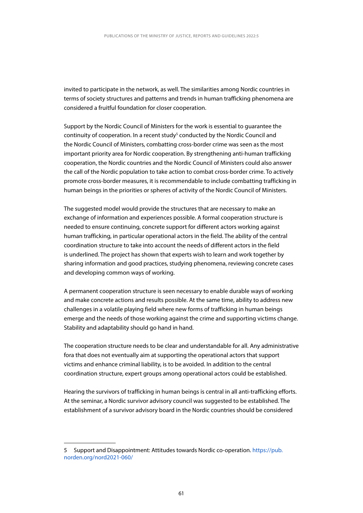invited to participate in the network, as well. The similarities among Nordic countries in terms of society structures and patterns and trends in human trafficking phenomena are considered a fruitful foundation for closer cooperation.

Support by the Nordic Council of Ministers for the work is essential to guarantee the continuity of cooperation. In a recent study<sup>5</sup> conducted by the Nordic Council and the Nordic Council of Ministers, combatting cross-border crime was seen as the most important priority area for Nordic cooperation. By strengthening anti-human trafficking cooperation, the Nordic countries and the Nordic Council of Ministers could also answer the call of the Nordic population to take action to combat cross-border crime. To actively promote cross-border measures, it is recommendable to include combatting trafficking in human beings in the priorities or spheres of activity of the Nordic Council of Ministers.

The suggested model would provide the structures that are necessary to make an exchange of information and experiences possible. A formal cooperation structure is needed to ensure continuing, concrete support for different actors working against human trafficking, in particular operational actors in the field. The ability of the central coordination structure to take into account the needs of different actors in the field is underlined. The project has shown that experts wish to learn and work together by sharing information and good practices, studying phenomena, reviewing concrete cases and developing common ways of working.

A permanent cooperation structure is seen necessary to enable durable ways of working and make concrete actions and results possible. At the same time, ability to address new challenges in a volatile playing field where new forms of trafficking in human beings emerge and the needs of those working against the crime and supporting victims change. Stability and adaptability should go hand in hand.

The cooperation structure needs to be clear and understandable for all. Any administrative fora that does not eventually aim at supporting the operational actors that support victims and enhance criminal liability, is to be avoided. In addition to the central coordination structure, expert groups among operational actors could be established.

Hearing the survivors of trafficking in human beings is central in all anti-trafficking efforts. At the seminar, a Nordic survivor advisory council was suggested to be established. The establishment of a survivor advisory board in the Nordic countries should be considered

<sup>5</sup> Support and Disappointment: Attitudes towards Nordic co-operation. [https://pub.](https://pub.norden.org/nord2021-060/) [norden.org/nord2021-060/](https://pub.norden.org/nord2021-060/)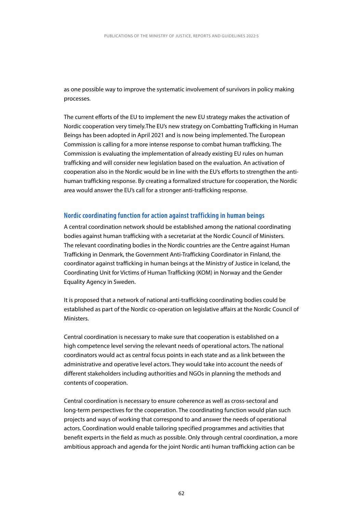as one possible way to improve the systematic involvement of survivors in policy making processes.

The current efforts of the EU to implement the new EU strategy makes the activation of Nordic cooperation very timely.The EU's new strategy on Combatting Trafficking in Human Beings has been adopted in April 2021 and is now being implemented. The European Commission is calling for a more intense response to combat human trafficking. The Commission is evaluating the implementation of already existing EU rules on human trafficking and will consider new legislation based on the evaluation. An activation of cooperation also in the Nordic would be in line with the EU's efforts to strengthen the antihuman trafficking response. By creating a formalized structure for cooperation, the Nordic area would answer the EU's call for a stronger anti-trafficking response.

#### **Nordic coordinating function for action against trafficking in human beings**

A central coordination network should be established among the national coordinating bodies against human trafficking with a secretariat at the Nordic Council of Ministers. The relevant coordinating bodies in the Nordic countries are the Centre against Human Trafficking in Denmark, the Government Anti-Trafficking Coordinator in Finland, the coordinator against trafficking in human beings at the Ministry of Justice in Iceland, the Coordinating Unit for Victims of Human Trafficking (KOM) in Norway and the Gender Equality Agency in Sweden.

It is proposed that a network of national anti-trafficking coordinating bodies could be established as part of the Nordic co-operation on legislative affairs at the Nordic Council of Ministers.

Central coordination is necessary to make sure that cooperation is established on a high competence level serving the relevant needs of operational actors. The national coordinators would act as central focus points in each state and as a link between the administrative and operative level actors. They would take into account the needs of different stakeholders including authorities and NGOs in planning the methods and contents of cooperation.

Central coordination is necessary to ensure coherence as well as cross-sectoral and long-term perspectives for the cooperation. The coordinating function would plan such projects and ways of working that correspond to and answer the needs of operational actors. Coordination would enable tailoring specified programmes and activities that benefit experts in the field as much as possible. Only through central coordination, a more ambitious approach and agenda for the joint Nordic anti human trafficking action can be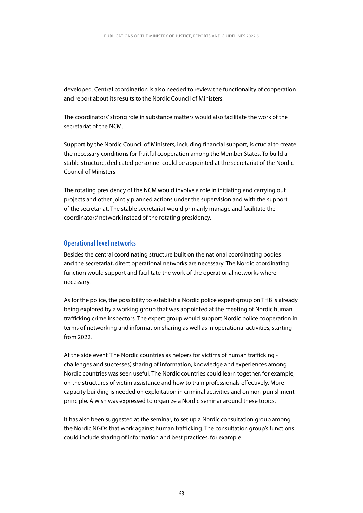developed. Central coordination is also needed to review the functionality of cooperation and report about its results to the Nordic Council of Ministers.

The coordinators' strong role in substance matters would also facilitate the work of the secretariat of the NCM.

Support by the Nordic Council of Ministers, including financial support, is crucial to create the necessary conditions for fruitful cooperation among the Member States. To build a stable structure, dedicated personnel could be appointed at the secretariat of the Nordic Council of Ministers

The rotating presidency of the NCM would involve a role in initiating and carrying out projects and other jointly planned actions under the supervision and with the support of the secretariat. The stable secretariat would primarily manage and facilitate the coordinators' network instead of the rotating presidency.

#### **Operational level networks**

Besides the central coordinating structure built on the national coordinating bodies and the secretariat, direct operational networks are necessary. The Nordic coordinating function would support and facilitate the work of the operational networks where necessary.

As for the police, the possibility to establish a Nordic police expert group on THB is already being explored by a working group that was appointed at the meeting of Nordic human trafficking crime inspectors. The expert group would support Nordic police cooperation in terms of networking and information sharing as well as in operational activities, starting from 2022.

At the side event 'The Nordic countries as helpers for victims of human trafficking challenges and successes', sharing of information, knowledge and experiences among Nordic countries was seen useful. The Nordic countries could learn together, for example, on the structures of victim assistance and how to train professionals effectively. More capacity building is needed on exploitation in criminal activities and on non-punishment principle. A wish was expressed to organize a Nordic seminar around these topics.

It has also been suggested at the seminar, to set up a Nordic consultation group among the Nordic NGOs that work against human trafficking. The consultation group's functions could include sharing of information and best practices, for example.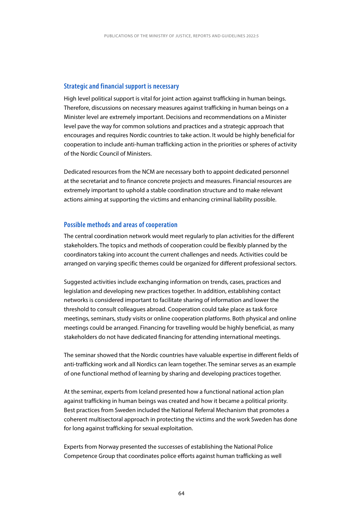#### **Strategic and financial support is necessary**

High level political support is vital for joint action against trafficking in human beings. Therefore, discussions on necessary measures against trafficking in human beings on a Minister level are extremely important. Decisions and recommendations on a Minister level pave the way for common solutions and practices and a strategic approach that encourages and requires Nordic countries to take action. It would be highly beneficial for cooperation to include anti-human trafficking action in the priorities or spheres of activity of the Nordic Council of Ministers.

Dedicated resources from the NCM are necessary both to appoint dedicated personnel at the secretariat and to finance concrete projects and measures. Financial resources are extremely important to uphold a stable coordination structure and to make relevant actions aiming at supporting the victims and enhancing criminal liability possible.

#### **Possible methods and areas of cooperation**

The central coordination network would meet regularly to plan activities for the different stakeholders. The topics and methods of cooperation could be flexibly planned by the coordinators taking into account the current challenges and needs. Activities could be arranged on varying specific themes could be organized for different professional sectors.

Suggested activities include exchanging information on trends, cases, practices and legislation and developing new practices together. In addition, establishing contact networks is considered important to facilitate sharing of information and lower the threshold to consult colleagues abroad. Cooperation could take place as task force meetings, seminars, study visits or online cooperation platforms. Both physical and online meetings could be arranged. Financing for travelling would be highly beneficial, as many stakeholders do not have dedicated financing for attending international meetings.

The seminar showed that the Nordic countries have valuable expertise in different fields of anti-trafficking work and all Nordics can learn together. The seminar serves as an example of one functional method of learning by sharing and developing practices together.

At the seminar, experts from Iceland presented how a functional national action plan against trafficking in human beings was created and how it became a political priority. Best practices from Sweden included the National Referral Mechanism that promotes a coherent multisectoral approach in protecting the victims and the work Sweden has done for long against trafficking for sexual exploitation.

Experts from Norway presented the successes of establishing the National Police Competence Group that coordinates police efforts against human trafficking as well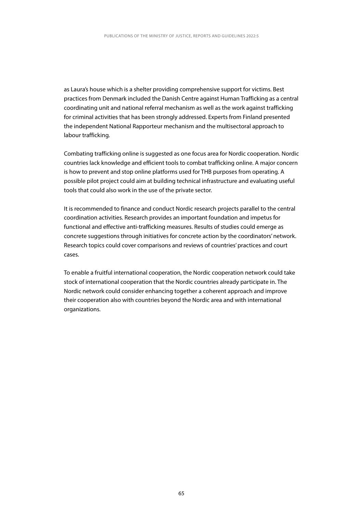as Laura's house which is a shelter providing comprehensive support for victims. Best practices from Denmark included the Danish Centre against Human Trafficking as a central coordinating unit and national referral mechanism as well as the work against trafficking for criminal activities that has been strongly addressed. Experts from Finland presented the independent National Rapporteur mechanism and the multisectoral approach to labour trafficking.

Combating trafficking online is suggested as one focus area for Nordic cooperation. Nordic countries lack knowledge and efficient tools to combat trafficking online. A major concern is how to prevent and stop online platforms used for THB purposes from operating. A possible pilot project could aim at building technical infrastructure and evaluating useful tools that could also work in the use of the private sector.

It is recommended to finance and conduct Nordic research projects parallel to the central coordination activities. Research provides an important foundation and impetus for functional and effective anti-trafficking measures. Results of studies could emerge as concrete suggestions through initiatives for concrete action by the coordinators' network. Research topics could cover comparisons and reviews of countries' practices and court cases.

To enable a fruitful international cooperation, the Nordic cooperation network could take stock of international cooperation that the Nordic countries already participate in. The Nordic network could consider enhancing together a coherent approach and improve their cooperation also with countries beyond the Nordic area and with international organizations.